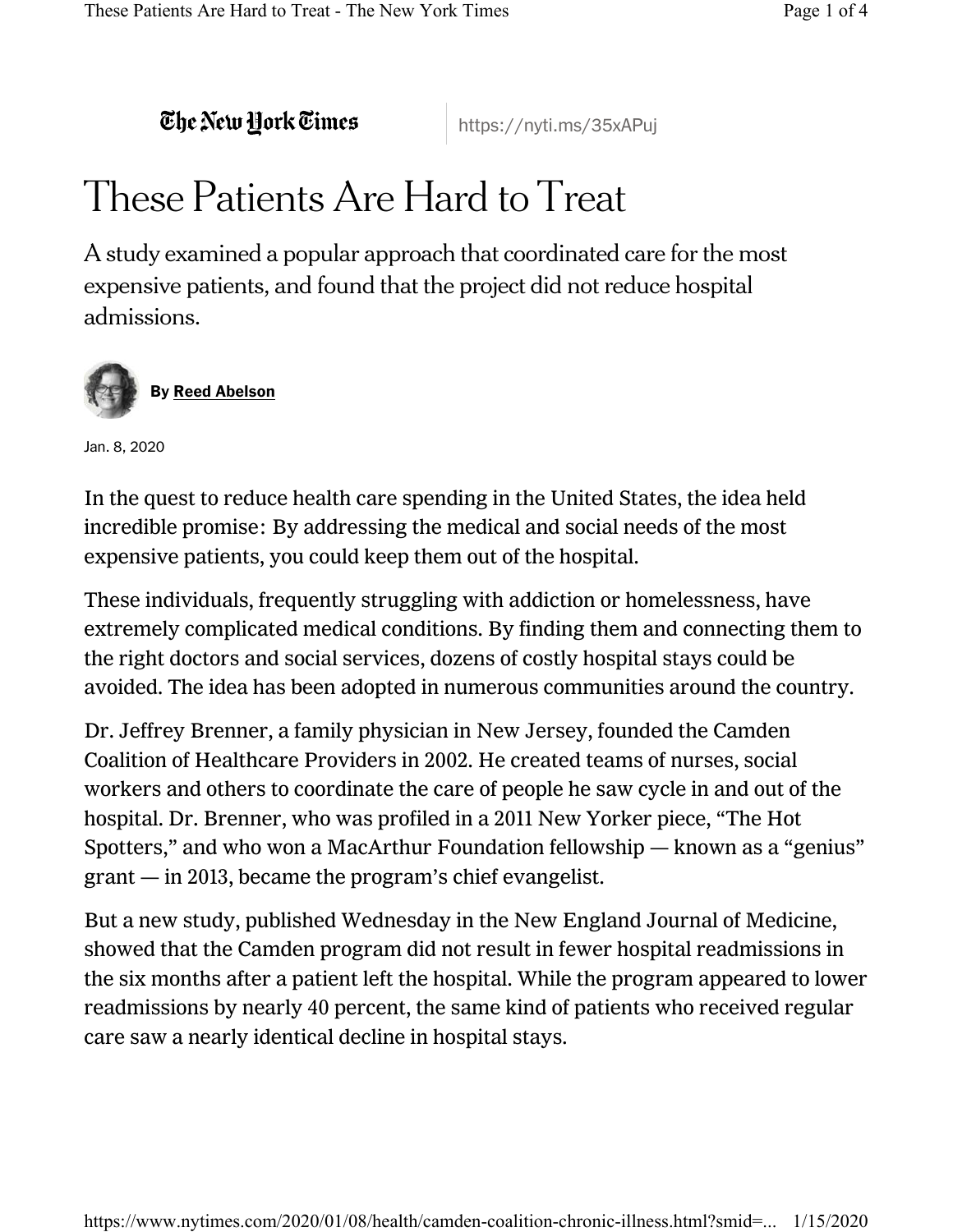The New York Times

https://nyti.ms/35xAPuj

# These Patients Are Hard to Treat

A study examined a popular approach that coordinated care for the most expensive patients, and found that the project did not reduce hospital admissions.



Jan. 8, 2020

In the quest to reduce health care spending in the United States, the idea held incredible promise: By addressing the medical and social needs of the most expensive patients, you could keep them out of the hospital.

These individuals, frequently struggling with addiction or homelessness, have extremely complicated medical conditions. By finding them and connecting them to the right doctors and social services, dozens of costly hospital stays could be avoided. The idea has been adopted in numerous communities around the country.

Dr. Jeffrey Brenner, a family physician in New Jersey, founded the Camden Coalition of Healthcare Providers in 2002. He created teams of nurses, social workers and others to coordinate the care of people he saw cycle in and out of the hospital. Dr. Brenner, who was profiled in a 2011 New Yorker piece, "The Hot Spotters," and who won a MacArthur Foundation fellowship — known as a "genius" grant — in 2013, became the program's chief evangelist.

But a new study, published Wednesday in the New England Journal of Medicine, showed that the Camden program did not result in fewer hospital readmissions in the six months after a patient left the hospital. While the program appeared to lower readmissions by nearly 40 percent, the same kind of patients who received regular care saw a nearly identical decline in hospital stays.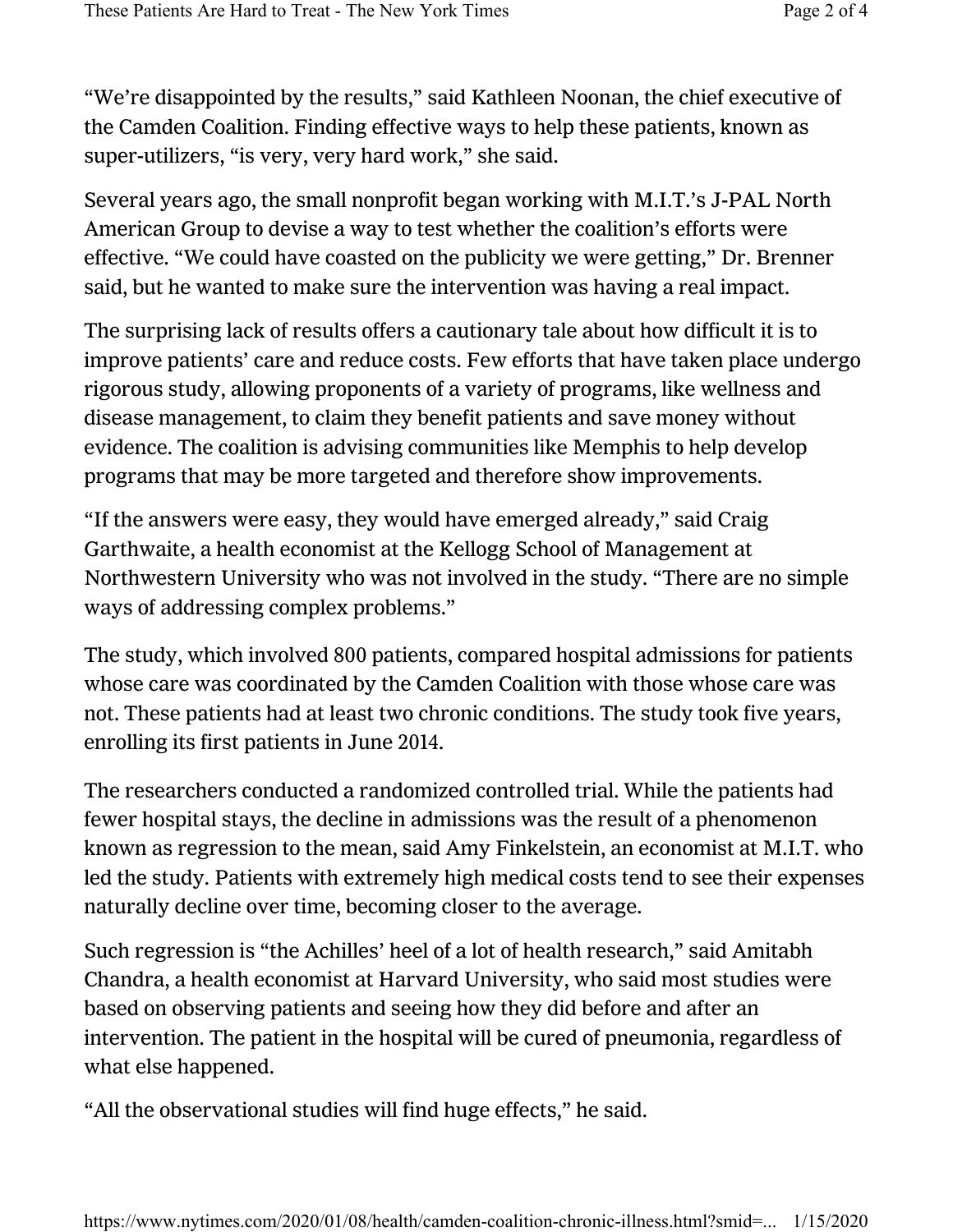"We're disappointed by the results," said Kathleen Noonan, the chief executive of the Camden Coalition. Finding effective ways to help these patients, known as super-utilizers, "is very, very hard work," she said.

Several years ago, the small nonprofit began working with M.I.T.'s J-PAL North American Group to devise a way to test whether the coalition's efforts were effective. "We could have coasted on the publicity we were getting," Dr. Brenner said, but he wanted to make sure the intervention was having a real impact.

The surprising lack of results offers a cautionary tale about how difficult it is to improve patients' care and reduce costs. Few efforts that have taken place undergo rigorous study, allowing proponents of a variety of programs, like wellness and disease management, to claim they benefit patients and save money without evidence. The coalition is advising communities like Memphis to help develop programs that may be more targeted and therefore show improvements.

"If the answers were easy, they would have emerged already," said Craig Garthwaite, a health economist at the Kellogg School of Management at Northwestern University who was not involved in the study. "There are no simple ways of addressing complex problems."

The study, which involved 800 patients, compared hospital admissions for patients whose care was coordinated by the Camden Coalition with those whose care was not. These patients had at least two chronic conditions. The study took five years, enrolling its first patients in June 2014.

The researchers conducted a randomized controlled trial. While the patients had fewer hospital stays, the decline in admissions was the result of a phenomenon known as regression to the mean, said Amy Finkelstein, an economist at M.I.T. who led the study. Patients with extremely high medical costs tend to see their expenses naturally decline over time, becoming closer to the average.

Such regression is "the Achilles' heel of a lot of health research," said Amitabh Chandra, a health economist at Harvard University, who said most studies were based on observing patients and seeing how they did before and after an intervention. The patient in the hospital will be cured of pneumonia, regardless of what else happened.

"All the observational studies will find huge effects," he said.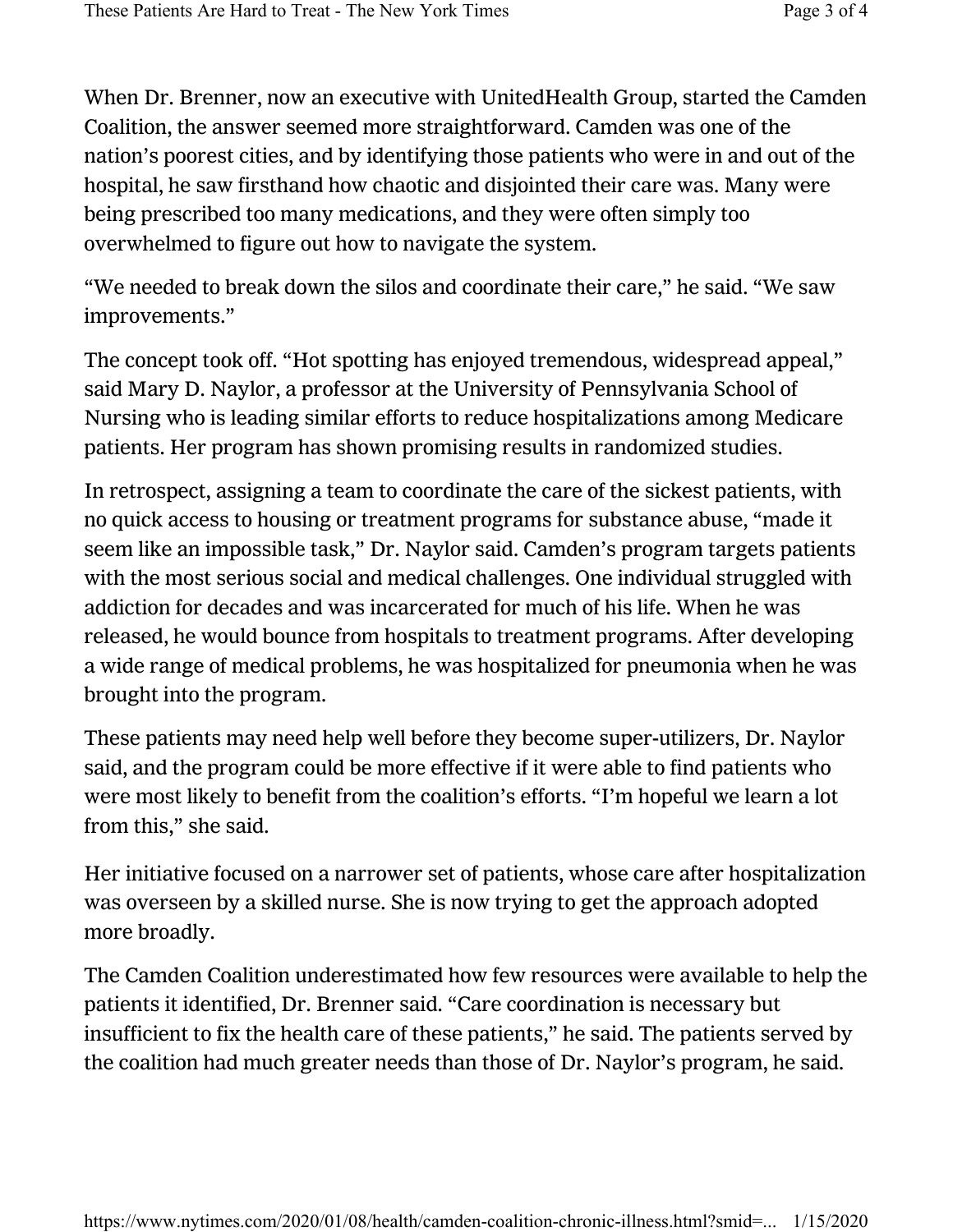When Dr. Brenner, now an executive with UnitedHealth Group, started the Camden Coalition, the answer seemed more straightforward. Camden was one of the nation's poorest cities, and by identifying those patients who were in and out of the hospital, he saw firsthand how chaotic and disjointed their care was. Many were being prescribed too many medications, and they were often simply too overwhelmed to figure out how to navigate the system.

"We needed to break down the silos and coordinate their care," he said. "We saw improvements."

The concept took off. "Hot spotting has enjoyed tremendous, widespread appeal," said Mary D. Naylor, a professor at the University of Pennsylvania School of Nursing who is leading similar efforts to reduce hospitalizations among Medicare patients. Her program has shown promising results in randomized studies.

In retrospect, assigning a team to coordinate the care of the sickest patients, with no quick access to housing or treatment programs for substance abuse, "made it seem like an impossible task," Dr. Naylor said. Camden's program targets patients with the most serious social and medical challenges. One individual struggled with addiction for decades and was incarcerated for much of his life. When he was released, he would bounce from hospitals to treatment programs. After developing a wide range of medical problems, he was hospitalized for pneumonia when he was brought into the program.

These patients may need help well before they become super-utilizers, Dr. Naylor said, and the program could be more effective if it were able to find patients who were most likely to benefit from the coalition's efforts. "I'm hopeful we learn a lot from this," she said.

Her initiative focused on a narrower set of patients, whose care after hospitalization was overseen by a skilled nurse. She is now trying to get the approach adopted more broadly.

The Camden Coalition underestimated how few resources were available to help the patients it identified, Dr. Brenner said. "Care coordination is necessary but insufficient to fix the health care of these patients," he said. The patients served by the coalition had much greater needs than those of Dr. Naylor's program, he said.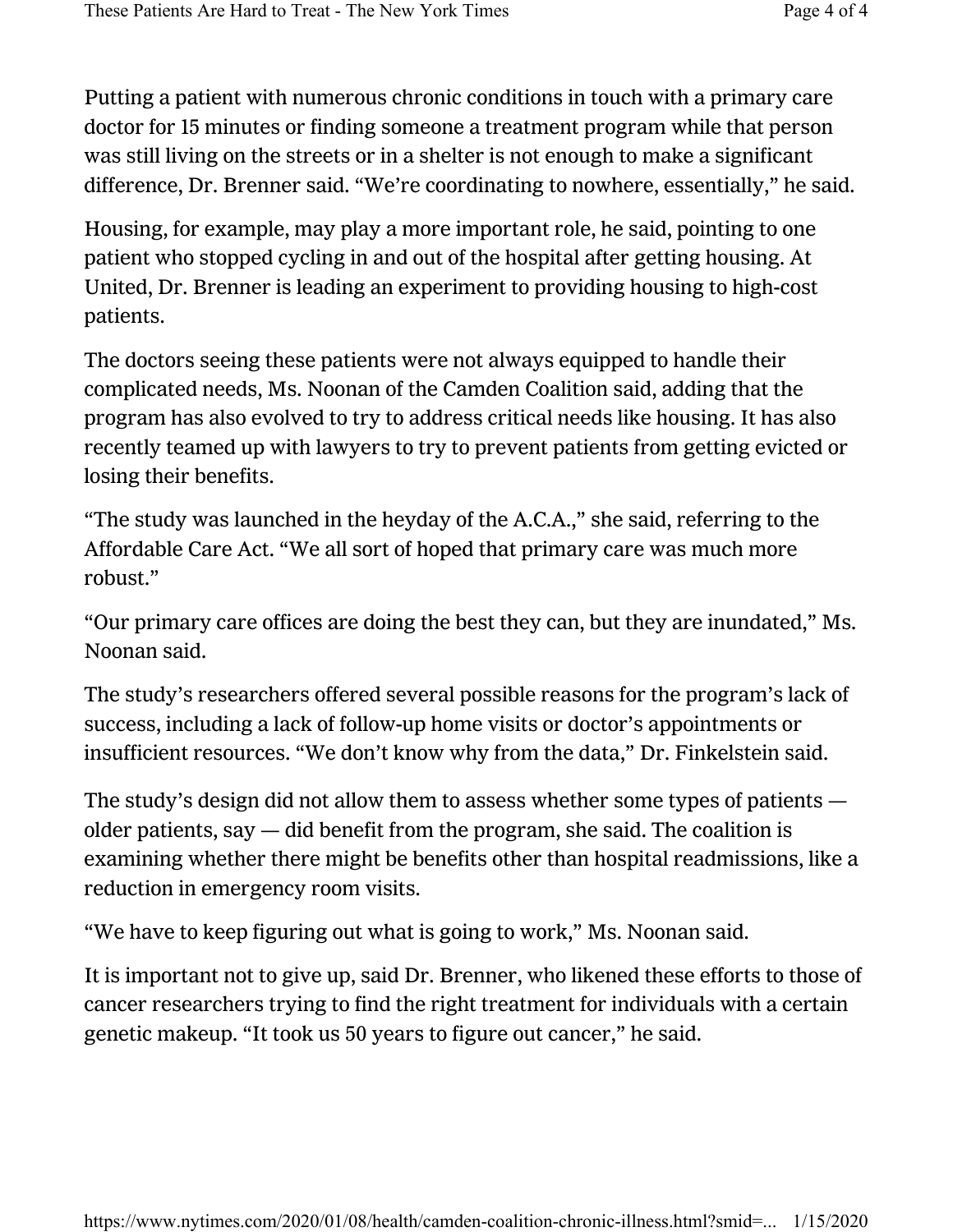Putting a patient with numerous chronic conditions in touch with a primary care doctor for 15 minutes or finding someone a treatment program while that person was still living on the streets or in a shelter is not enough to make a significant difference, Dr. Brenner said. "We're coordinating to nowhere, essentially," he said.

Housing, for example, may play a more important role, he said, pointing to one patient who stopped cycling in and out of the hospital after getting housing. At United, Dr. Brenner is leading an experiment to providing housing to high-cost patients.

The doctors seeing these patients were not always equipped to handle their complicated needs, Ms. Noonan of the Camden Coalition said, adding that the program has also evolved to try to address critical needs like housing. It has also recently teamed up with lawyers to try to prevent patients from getting evicted or losing their benefits.

"The study was launched in the heyday of the A.C.A.," she said, referring to the Affordable Care Act. "We all sort of hoped that primary care was much more robust."

"Our primary care offices are doing the best they can, but they are inundated," Ms. Noonan said.

The study's researchers offered several possible reasons for the program's lack of success, including a lack of follow-up home visits or doctor's appointments or insufficient resources. "We don't know why from the data," Dr. Finkelstein said.

The study's design did not allow them to assess whether some types of patients older patients, say — did benefit from the program, she said. The coalition is examining whether there might be benefits other than hospital readmissions, like a reduction in emergency room visits.

"We have to keep figuring out what is going to work," Ms. Noonan said.

It is important not to give up, said Dr. Brenner, who likened these efforts to those of cancer researchers trying to find the right treatment for individuals with a certain genetic makeup. "It took us 50 years to figure out cancer," he said.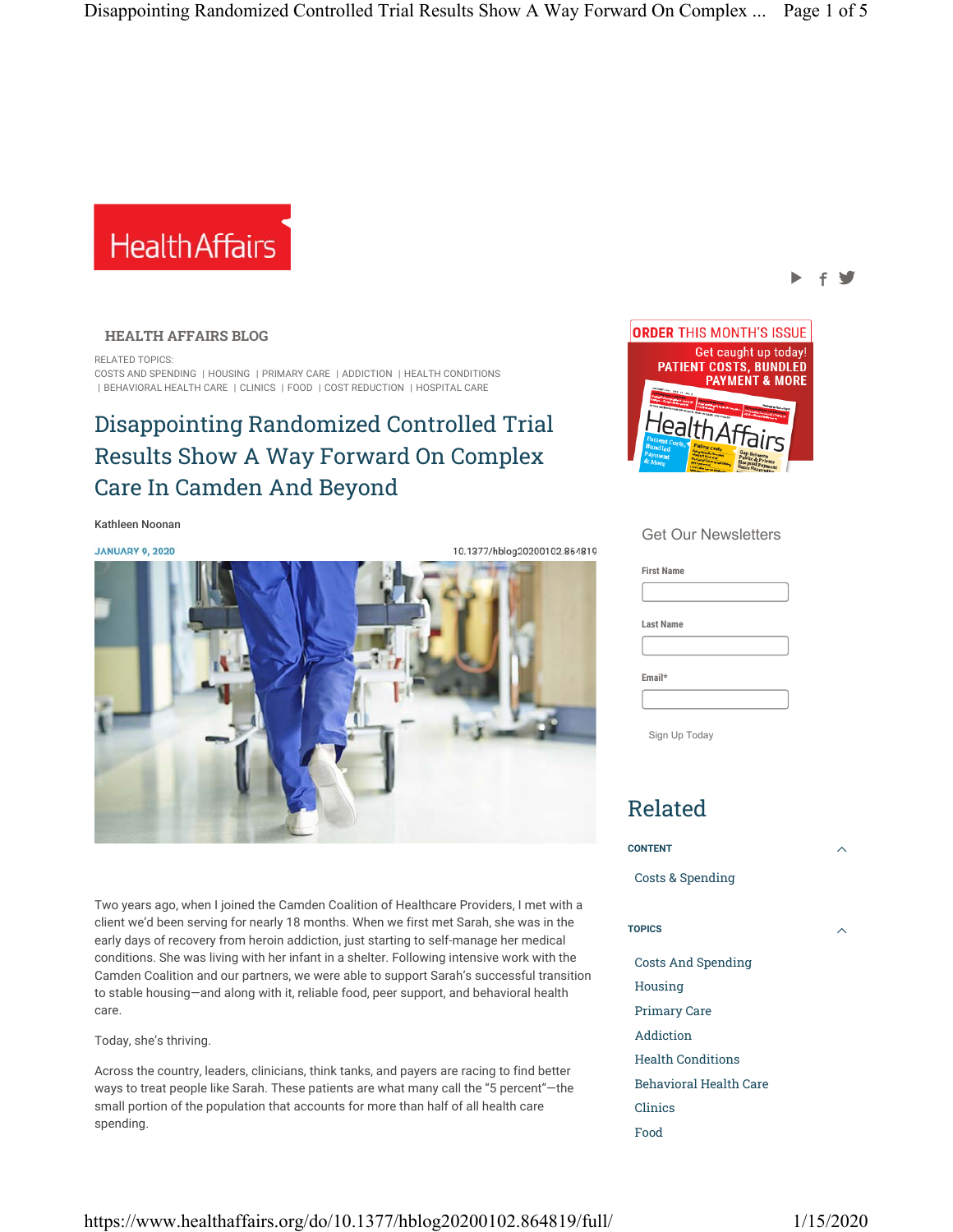# **Health Affairs**

#### **HEALTH AFFAIRS BLOG**

RELATED TOPICS: COSTS AND SPENDING | HOUSING | PRIMARY CARE | ADDICTION | HEALTH CONDITIONS | BEHAVIORAL HEALTH CARE | CLINICS | FOOD | COST REDUCTION | HOSPITAL CARE

# Disappointing Randomized Controlled Trial Results Show A Way Forward On Complex Care In Camden And Beyond

Kathleen Noonan



Two years ago, when I joined the Camden Coalition of Healthcare Providers, I met with a client we'd been serving for nearly 18 months. When we first met Sarah, she was in the early days of recovery from heroin addiction, just starting to self-manage her medical conditions. She was living with her infant in a shelter. Following intensive work with the Camden Coalition and our partners, we were able to support Sarah's successful transition to stable housing—and along with it, reliable food, peer support, and behavioral health care.

Today, she's thriving.

Across the country, leaders, clinicians, think tanks, and payers are racing to find better ways to treat people like Sarah. These patients are what many call the "5 percent"—the small portion of the population that accounts for more than half of all health care spending.



トイダ

#### Get Our Newsletters

| <b>First Name</b> |  |
|-------------------|--|
|                   |  |
| <b>Last Name</b>  |  |
|                   |  |
| Email*            |  |
|                   |  |
|                   |  |

Sign Up Today

# Related

| <b>CONTENT</b>                |  |
|-------------------------------|--|
| Costs & Spending              |  |
|                               |  |
| <b>TOPICS</b>                 |  |
| Costs And Spending            |  |
| Housing                       |  |
| <b>Primary Care</b>           |  |
| Addiction                     |  |
| <b>Health Conditions</b>      |  |
| <b>Behavioral Health Care</b> |  |
| Clinics                       |  |
| Food                          |  |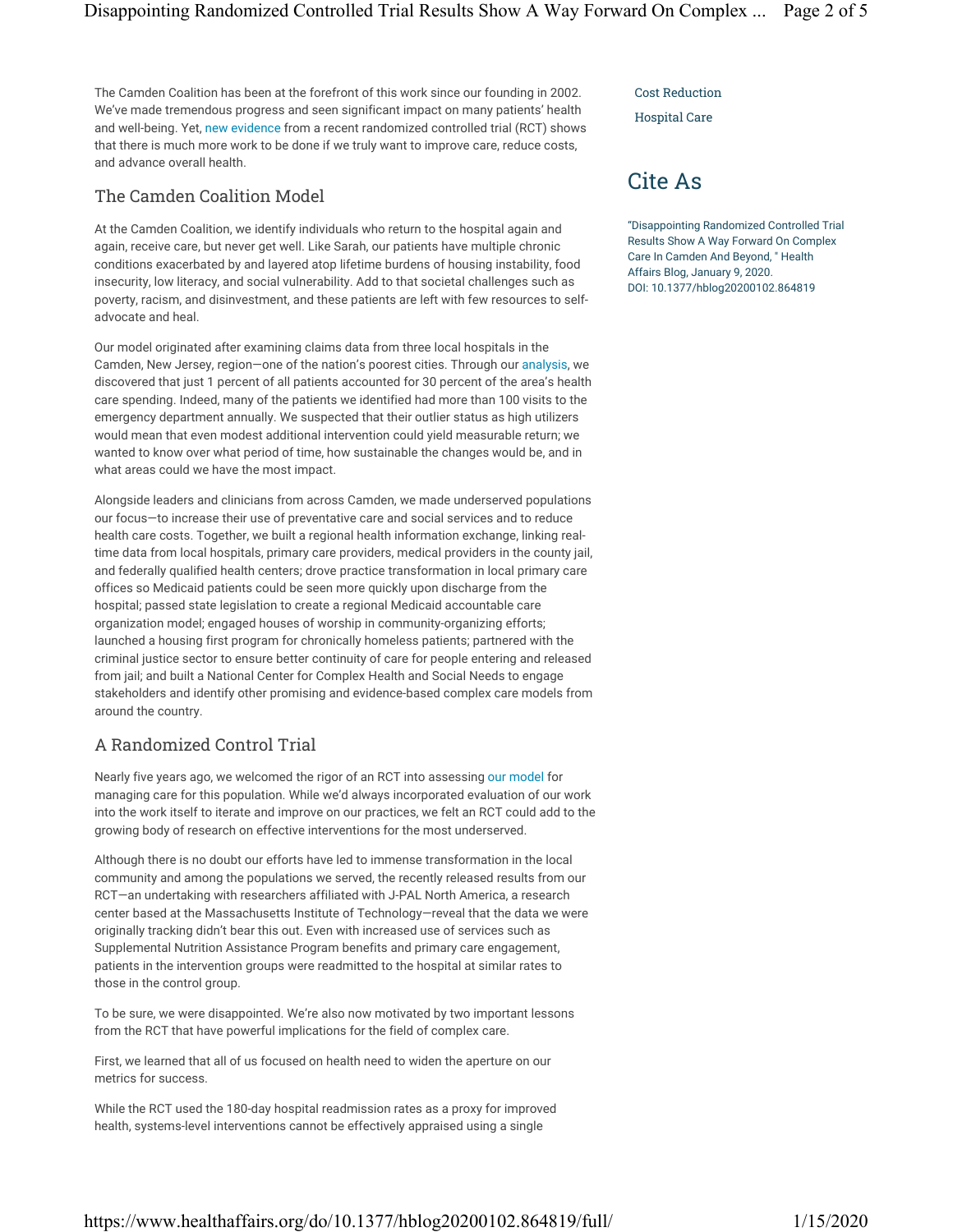The Camden Coalition has been at the forefront of this work since our founding in 2002. We've made tremendous progress and seen significant impact on many patients' health and well-being. Yet, new evidence from a recent randomized controlled trial (RCT) shows that there is much more work to be done if we truly want to improve care, reduce costs, and advance overall health.

### The Camden Coalition Model

At the Camden Coalition, we identify individuals who return to the hospital again and again, receive care, but never get well. Like Sarah, our patients have multiple chronic conditions exacerbated by and layered atop lifetime burdens of housing instability, food insecurity, low literacy, and social vulnerability. Add to that societal challenges such as poverty, racism, and disinvestment, and these patients are left with few resources to selfadvocate and heal.

Our model originated after examining claims data from three local hospitals in the Camden, New Jersey, region—one of the nation's poorest cities. Through our analysis, we discovered that just 1 percent of all patients accounted for 30 percent of the area's health care spending. Indeed, many of the patients we identified had more than 100 visits to the emergency department annually. We suspected that their outlier status as high utilizers would mean that even modest additional intervention could yield measurable return; we wanted to know over what period of time, how sustainable the changes would be, and in what areas could we have the most impact.

Alongside leaders and clinicians from across Camden, we made underserved populations our focus—to increase their use of preventative care and social services and to reduce health care costs. Together, we built a regional health information exchange, linking realtime data from local hospitals, primary care providers, medical providers in the county jail, and federally qualified health centers; drove practice transformation in local primary care offices so Medicaid patients could be seen more quickly upon discharge from the hospital; passed state legislation to create a regional Medicaid accountable care organization model; engaged houses of worship in community-organizing efforts; launched a housing first program for chronically homeless patients; partnered with the criminal justice sector to ensure better continuity of care for people entering and released from jail; and built a National Center for Complex Health and Social Needs to engage stakeholders and identify other promising and evidence-based complex care models from around the country.

### A Randomized Control Trial

Nearly five years ago, we welcomed the rigor of an RCT into assessing our model for managing care for this population. While we'd always incorporated evaluation of our work into the work itself to iterate and improve on our practices, we felt an RCT could add to the growing body of research on effective interventions for the most underserved.

Although there is no doubt our efforts have led to immense transformation in the local community and among the populations we served, the recently released results from our RCT—an undertaking with researchers affiliated with J-PAL North America, a research center based at the Massachusetts Institute of Technology—reveal that the data we were originally tracking didn't bear this out. Even with increased use of services such as Supplemental Nutrition Assistance Program benefits and primary care engagement, patients in the intervention groups were readmitted to the hospital at similar rates to those in the control group.

To be sure, we were disappointed. We're also now motivated by two important lessons from the RCT that have powerful implications for the field of complex care.

First, we learned that all of us focused on health need to widen the aperture on our metrics for success.

While the RCT used the 180-day hospital readmission rates as a proxy for improved health, systems-level interventions cannot be effectively appraised using a single

### Cost Reduction

Hospital Care

# Cite As

"Disappointing Randomized Controlled Trial Results Show A Way Forward On Complex Care In Camden And Beyond, " Health Affairs Blog, January 9, 2020. DOI: 10.1377/hblog20200102.864819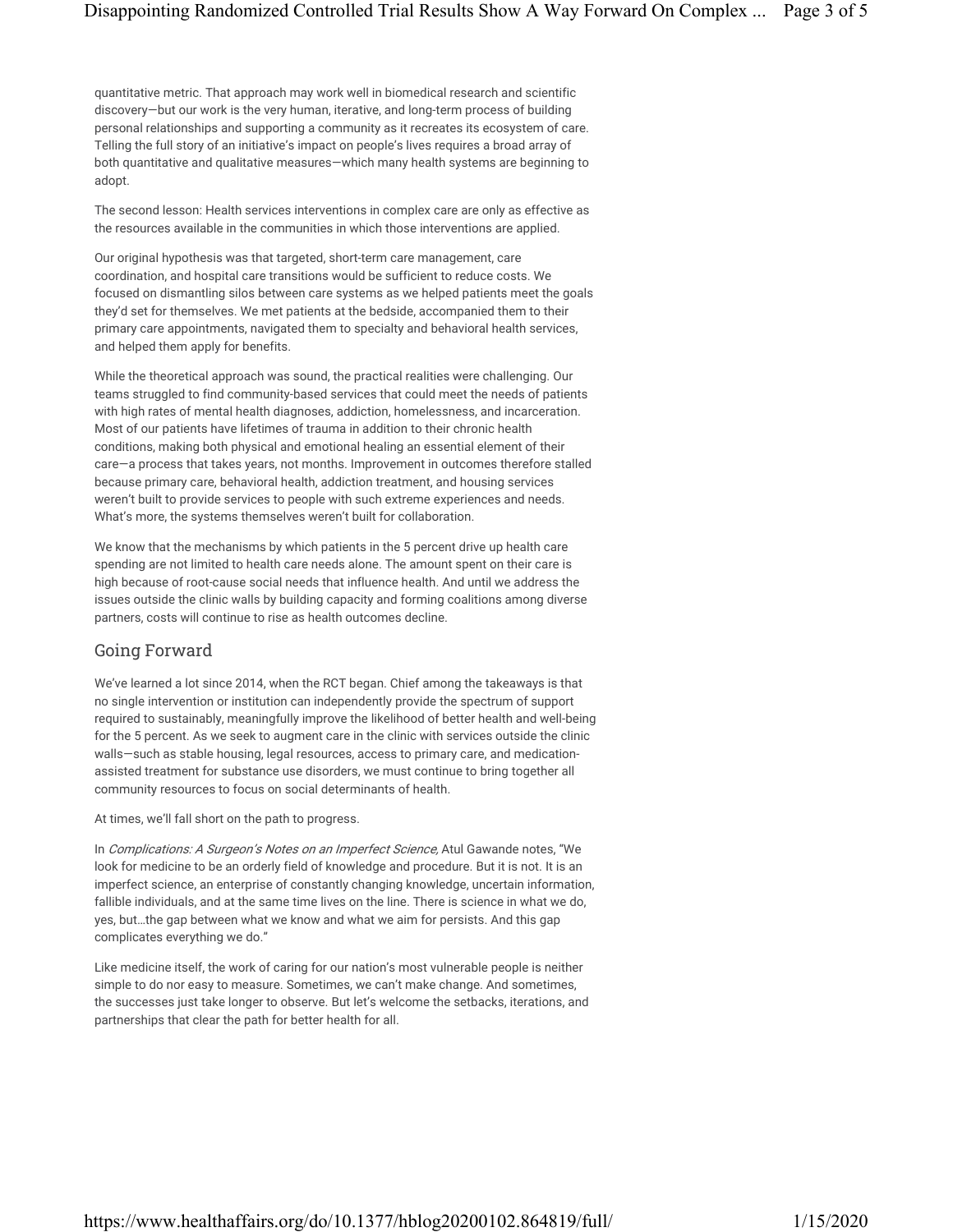quantitative metric. That approach may work well in biomedical research and scientific discovery—but our work is the very human, iterative, and long-term process of building personal relationships and supporting a community as it recreates its ecosystem of care. Telling the full story of an initiative's impact on people's lives requires a broad array of both quantitative and qualitative measures—which many health systems are beginning to adopt.

The second lesson: Health services interventions in complex care are only as effective as the resources available in the communities in which those interventions are applied.

Our original hypothesis was that targeted, short-term care management, care coordination, and hospital care transitions would be sufficient to reduce costs. We focused on dismantling silos between care systems as we helped patients meet the goals they'd set for themselves. We met patients at the bedside, accompanied them to their primary care appointments, navigated them to specialty and behavioral health services, and helped them apply for benefits.

While the theoretical approach was sound, the practical realities were challenging. Our teams struggled to find community-based services that could meet the needs of patients with high rates of mental health diagnoses, addiction, homelessness, and incarceration. Most of our patients have lifetimes of trauma in addition to their chronic health conditions, making both physical and emotional healing an essential element of their care—a process that takes years, not months. Improvement in outcomes therefore stalled because primary care, behavioral health, addiction treatment, and housing services weren't built to provide services to people with such extreme experiences and needs. What's more, the systems themselves weren't built for collaboration.

We know that the mechanisms by which patients in the 5 percent drive up health care spending are not limited to health care needs alone. The amount spent on their care is high because of root-cause social needs that influence health. And until we address the issues outside the clinic walls by building capacity and forming coalitions among diverse partners, costs will continue to rise as health outcomes decline.

### Going Forward

We've learned a lot since 2014, when the RCT began. Chief among the takeaways is that no single intervention or institution can independently provide the spectrum of support required to sustainably, meaningfully improve the likelihood of better health and well-being for the 5 percent. As we seek to augment care in the clinic with services outside the clinic walls—such as stable housing, legal resources, access to primary care, and medicationassisted treatment for substance use disorders, we must continue to bring together all community resources to focus on social determinants of health.

At times, we'll fall short on the path to progress.

In Complications: A Surgeon's Notes on an Imperfect Science, Atul Gawande notes, "We look for medicine to be an orderly field of knowledge and procedure. But it is not. It is an imperfect science, an enterprise of constantly changing knowledge, uncertain information, fallible individuals, and at the same time lives on the line. There is science in what we do, yes, but…the gap between what we know and what we aim for persists. And this gap complicates everything we do."

Like medicine itself, the work of caring for our nation's most vulnerable people is neither simple to do nor easy to measure. Sometimes, we can't make change. And sometimes, the successes just take longer to observe. But let's welcome the setbacks, iterations, and partnerships that clear the path for better health for all.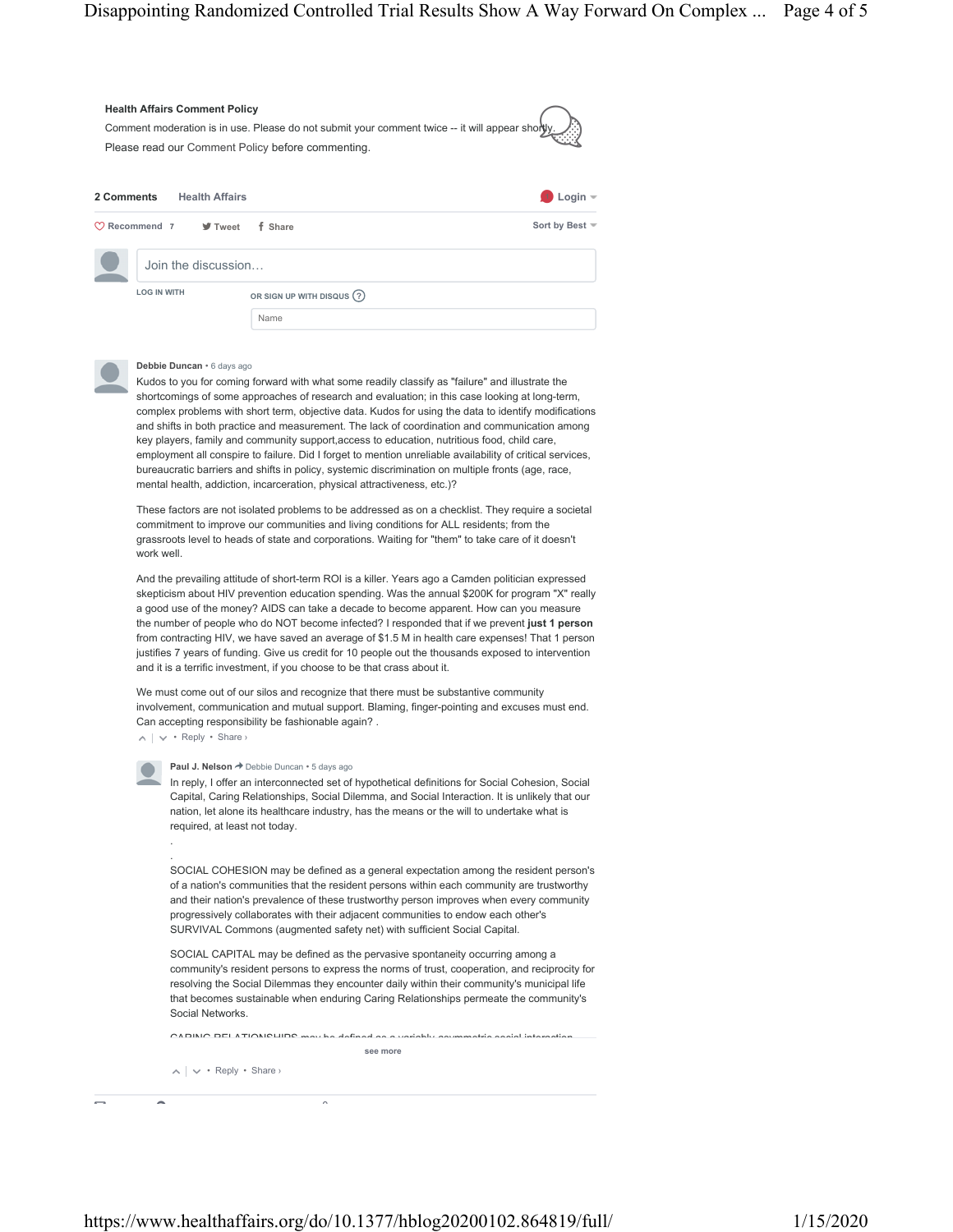

Capital, Caring Relationships, Social Dilemma, and Social Interaction. It is unlikely that our nation, let alone its healthcare industry, has the means or the will to undertake what is required, at least not today.

. SOCIAL COHESION may be defined as a general expectation among the resident person's of a nation's communities that the resident persons within each community are trustworthy and their nation's prevalence of these trustworthy person improves when every community progressively collaborates with their adjacent communities to endow each other's SURVIVAL Commons (augmented safety net) with sufficient Social Capital.

SOCIAL CAPITAL may be defined as the pervasive spontaneity occurring among a community's resident persons to express the norms of trust, cooperation, and reciprocity for resolving the Social Dilemmas they encounter daily within their community's municipal life that becomes sustainable when enduring Caring Relationships permeate the community's Social Networks.

**see more**  $\overline{C}$  CARING RELATIONSHIPS may be defined as a variable social interactions as a variable social interactions of  $\overline{C}$ 

• Reply • Share ›

✉ d %

.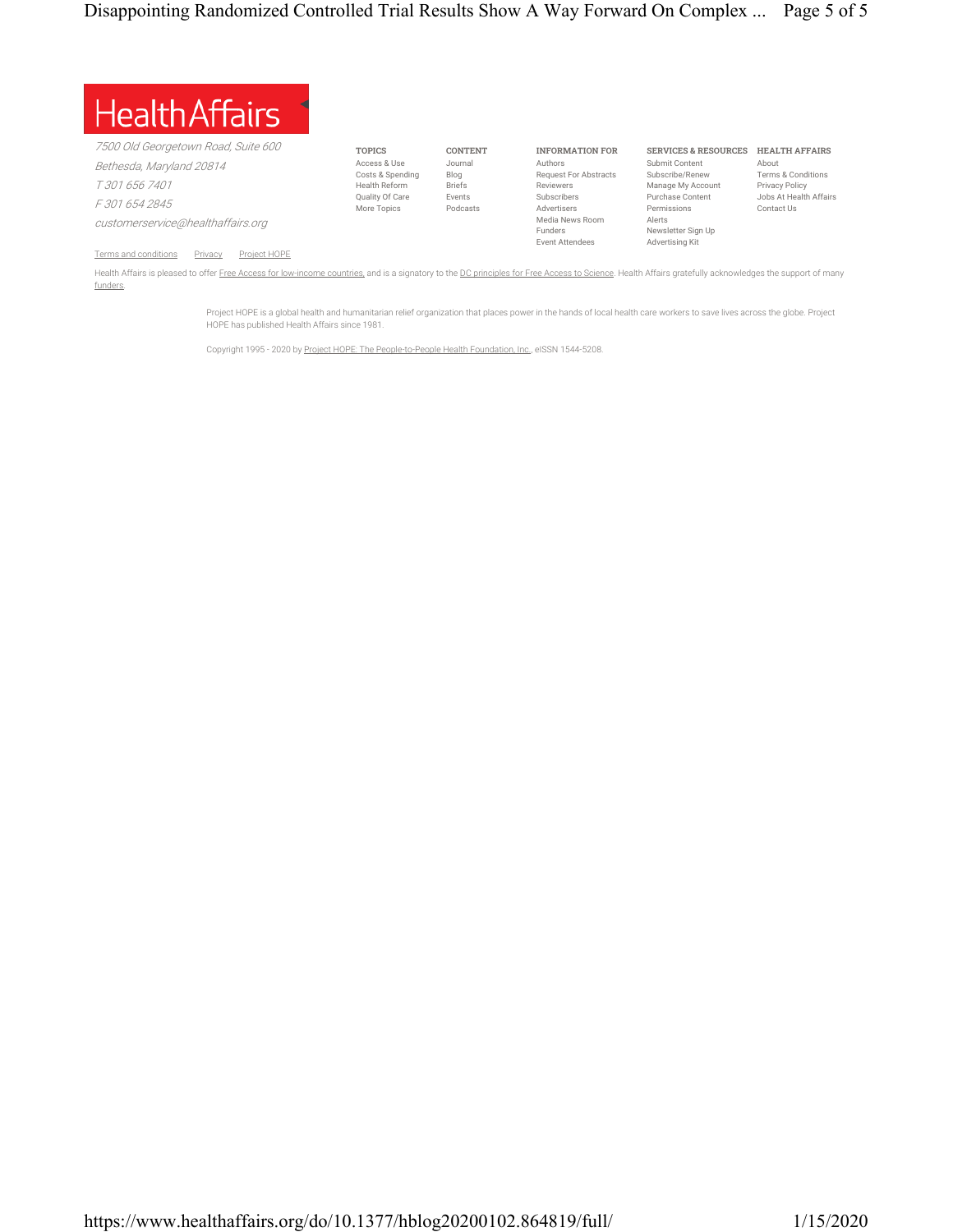

7500 Old Georgetown Road, Suite 600 Bethesda, Maryland 20814 T 301 656 7401 F 301 654 2845 customerservice@healthaffairs.org

| <b>TOPICS</b>        | <b>CONTENT</b> |
|----------------------|----------------|
| Access & Use         | Journal        |
| Costs & Spending     | Blog           |
| <b>Health Reform</b> | <b>Briefs</b>  |
| Quality Of Care      | <b>Events</b>  |
| More Topics          | Podcasts       |
|                      |                |

**INFORMATION FOR** Authors Request For Abstracts Reviewers Subscribers Advertisers Media News Room Funders

Event Attendees

#### **SERVICES & RESOURCES HEALTH AFFAIRS** Submit Content

Subscribe/Renew Manage My Account Purchase Content Permissions Alerts Newsletter Sign Up Advertising Kit

About Terms & Conditions Privacy Policy Jobs At Health Affairs Contact Us

Terms and conditions Privacy Project HOPE

Health Affairs is pleased to offer Free Access for low-income countries, and is a signatory to the DC principles for Free Access to Science. Health Affairs gratefully acknowledges the support of many funders.

Project HOPE is a global health and humanitarian relief organization that places power in the hands of local health care workers to save lives across the globe. Project HOPE has published Health Affairs since 1981.

Copyright 1995 - 2020 by Project HOPE: The People-to-People Health Foundation, Inc., eISSN 1544-5208.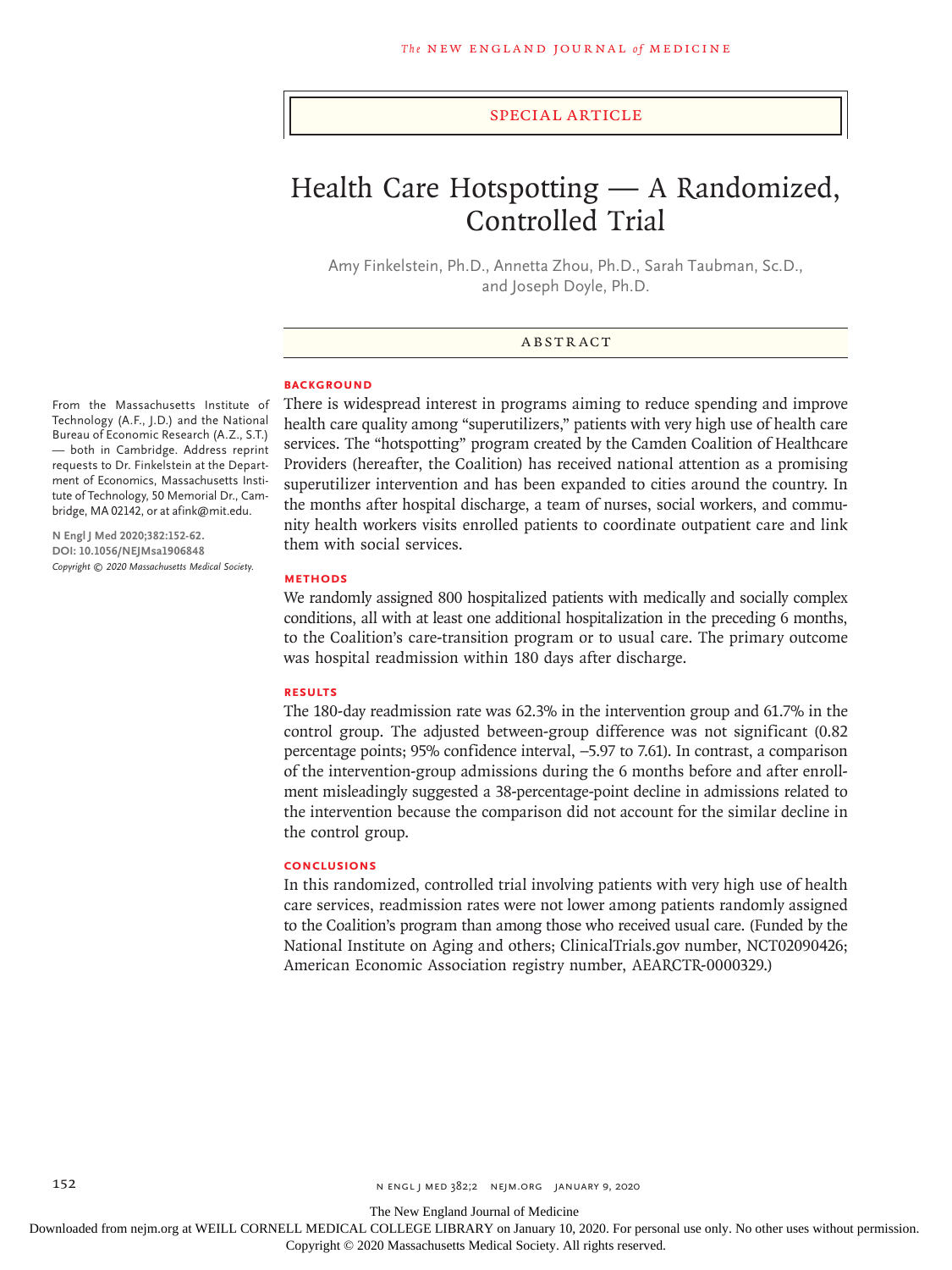#### Special Article

## Health Care Hotspotting — A Randomized, Controlled Trial

Amy Finkelstein, Ph.D., Annetta Zhou, Ph.D., Sarah Taubman, Sc.D., and Joseph Doyle, Ph.D.

#### ABSTRACT

#### **BACKGROUND**

From the Massachusetts Institute of Technology (A.F., J.D.) and the National Bureau of Economic Research (A.Z., S.T.) — both in Cambridge. Address reprint requests to Dr. Finkelstein at the Department of Economics, Massachusetts Institute of Technology, 50 Memorial Dr., Cambridge, MA 02142, or at afink@mit.edu.

**N Engl J Med 2020;382:152-62. DOI: 10.1056/NEJMsa1906848** *Copyright © 2020 Massachusetts Medical Society.* There is widespread interest in programs aiming to reduce spending and improve health care quality among "superutilizers," patients with very high use of health care services. The "hotspotting" program created by the Camden Coalition of Healthcare Providers (hereafter, the Coalition) has received national attention as a promising superutilizer intervention and has been expanded to cities around the country. In the months after hospital discharge, a team of nurses, social workers, and community health workers visits enrolled patients to coordinate outpatient care and link them with social services.

#### **METHODS**

We randomly assigned 800 hospitalized patients with medically and socially complex conditions, all with at least one additional hospitalization in the preceding 6 months, to the Coalition's care-transition program or to usual care. The primary outcome was hospital readmission within 180 days after discharge.

#### **RESULTS**

The 180-day readmission rate was 62.3% in the intervention group and 61.7% in the control group. The adjusted between-group difference was not significant (0.82 percentage points; 95% confidence interval, −5.97 to 7.61). In contrast, a comparison of the intervention-group admissions during the 6 months before and after enrollment misleadingly suggested a 38-percentage-point decline in admissions related to the intervention because the comparison did not account for the similar decline in the control group.

#### **CONCLUSIONS**

In this randomized, controlled trial involving patients with very high use of health care services, readmission rates were not lower among patients randomly assigned to the Coalition's program than among those who received usual care. (Funded by the National Institute on Aging and others; ClinicalTrials.gov number, NCT02090426; American Economic Association registry number, AEARCTR-0000329.)

The New England Journal of Medicine

Downloaded from nejm.org at WEILL CORNELL MEDICAL COLLEGE LIBRARY on January 10, 2020. For personal use only. No other uses without permission. Copyright © 2020 Massachusetts Medical Society. All rights reserved.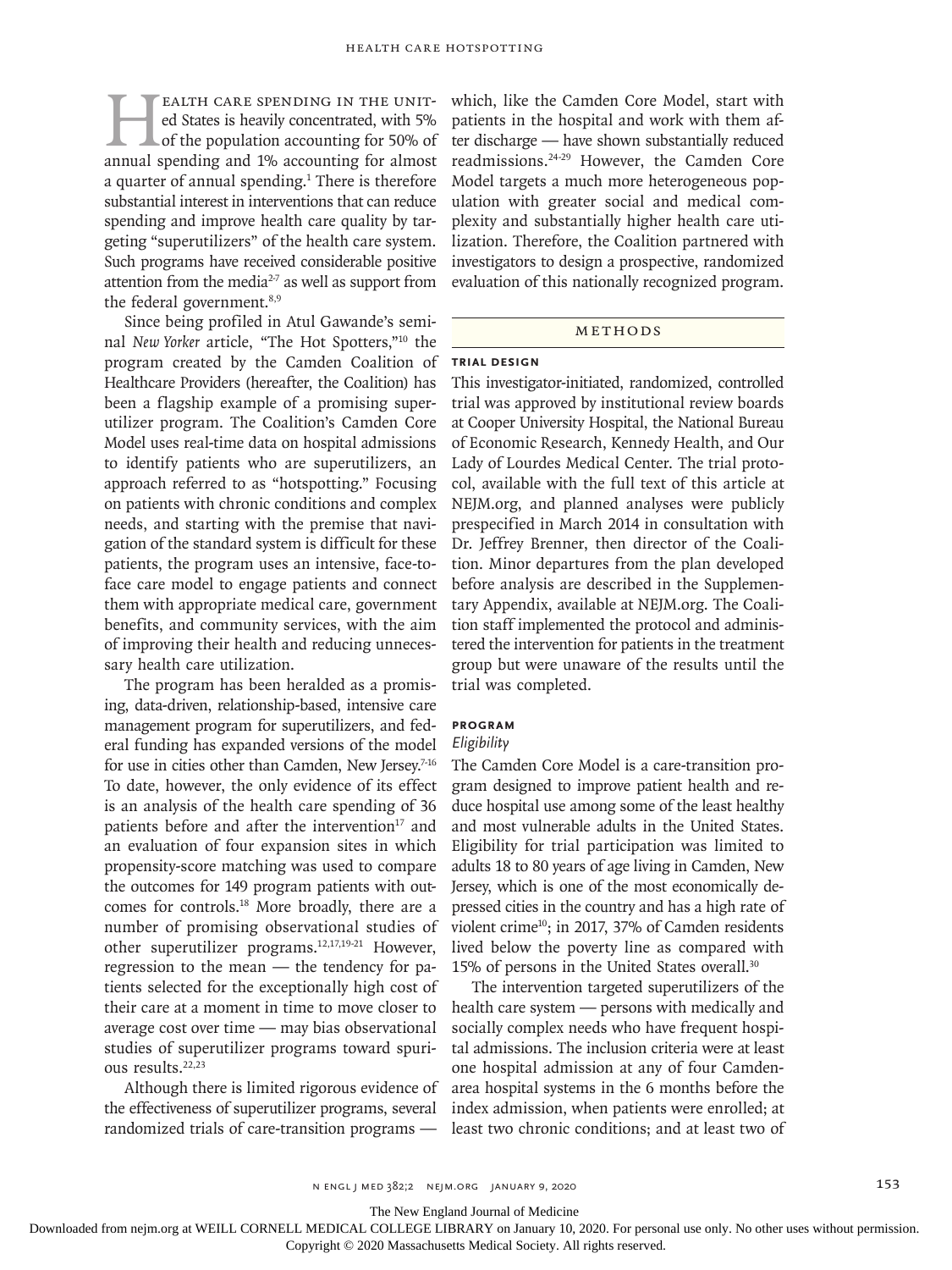EALTH CARE SPENDING IN THE UNIT-<br>ed States is heavily concentrated, with 5%<br>of the population accounting for 50% of<br>annual spending and 1% accounting for almost ed States is heavily concentrated, with 5% of the population accounting for 50% of annual spending and 1% accounting for almost a quarter of annual spending.<sup>1</sup> There is therefore substantial interest in interventions that can reduce spending and improve health care quality by targeting "superutilizers" of the health care system. Such programs have received considerable positive attention from the media $2-7$  as well as support from the federal government.<sup>8,9</sup>

Since being profiled in Atul Gawande's seminal *New Yorker* article, "The Hot Spotters,"10 the program created by the Camden Coalition of Healthcare Providers (hereafter, the Coalition) has been a flagship example of a promising superutilizer program. The Coalition's Camden Core Model uses real-time data on hospital admissions to identify patients who are superutilizers, an approach referred to as "hotspotting." Focusing on patients with chronic conditions and complex needs, and starting with the premise that navigation of the standard system is difficult for these patients, the program uses an intensive, face-toface care model to engage patients and connect them with appropriate medical care, government benefits, and community services, with the aim of improving their health and reducing unnecessary health care utilization.

The program has been heralded as a promising, data-driven, relationship-based, intensive care management program for superutilizers, and federal funding has expanded versions of the model for use in cities other than Camden, New Jersey.<sup>7-16</sup> To date, however, the only evidence of its effect is an analysis of the health care spending of 36 patients before and after the intervention<sup>17</sup> and an evaluation of four expansion sites in which propensity-score matching was used to compare the outcomes for 149 program patients with outcomes for controls.18 More broadly, there are a number of promising observational studies of other superutilizer programs.12,17,19-21 However, regression to the mean — the tendency for patients selected for the exceptionally high cost of their care at a moment in time to move closer to average cost over time — may bias observational studies of superutilizer programs toward spurious results.<sup>22,23</sup>

Although there is limited rigorous evidence of the effectiveness of superutilizer programs, several randomized trials of care-transition programs —

which, like the Camden Core Model, start with patients in the hospital and work with them after discharge — have shown substantially reduced readmissions.24-29 However, the Camden Core Model targets a much more heterogeneous population with greater social and medical complexity and substantially higher health care utilization. Therefore, the Coalition partnered with investigators to design a prospective, randomized evaluation of this nationally recognized program.

#### Methods

#### **Trial Design**

This investigator-initiated, randomized, controlled trial was approved by institutional review boards at Cooper University Hospital, the National Bureau of Economic Research, Kennedy Health, and Our Lady of Lourdes Medical Center. The trial protocol, available with the full text of this article at NEJM.org, and planned analyses were publicly prespecified in March 2014 in consultation with Dr. Jeffrey Brenner, then director of the Coalition. Minor departures from the plan developed before analysis are described in the Supplementary Appendix, available at NEJM.org. The Coalition staff implemented the protocol and administered the intervention for patients in the treatment group but were unaware of the results until the trial was completed.

#### **Program**

#### *Eligibility*

The Camden Core Model is a care-transition program designed to improve patient health and reduce hospital use among some of the least healthy and most vulnerable adults in the United States. Eligibility for trial participation was limited to adults 18 to 80 years of age living in Camden, New Jersey, which is one of the most economically depressed cities in the country and has a high rate of violent crime<sup>10</sup>; in 2017, 37% of Camden residents lived below the poverty line as compared with 15% of persons in the United States overall.30

The intervention targeted superutilizers of the health care system — persons with medically and socially complex needs who have frequent hospital admissions. The inclusion criteria were at least one hospital admission at any of four Camdenarea hospital systems in the 6 months before the index admission, when patients were enrolled; at least two chronic conditions; and at least two of

The New England Journal of Medicine

Downloaded from nejm.org at WEILL CORNELL MEDICAL COLLEGE LIBRARY on January 10, 2020. For personal use only. No other uses without permission.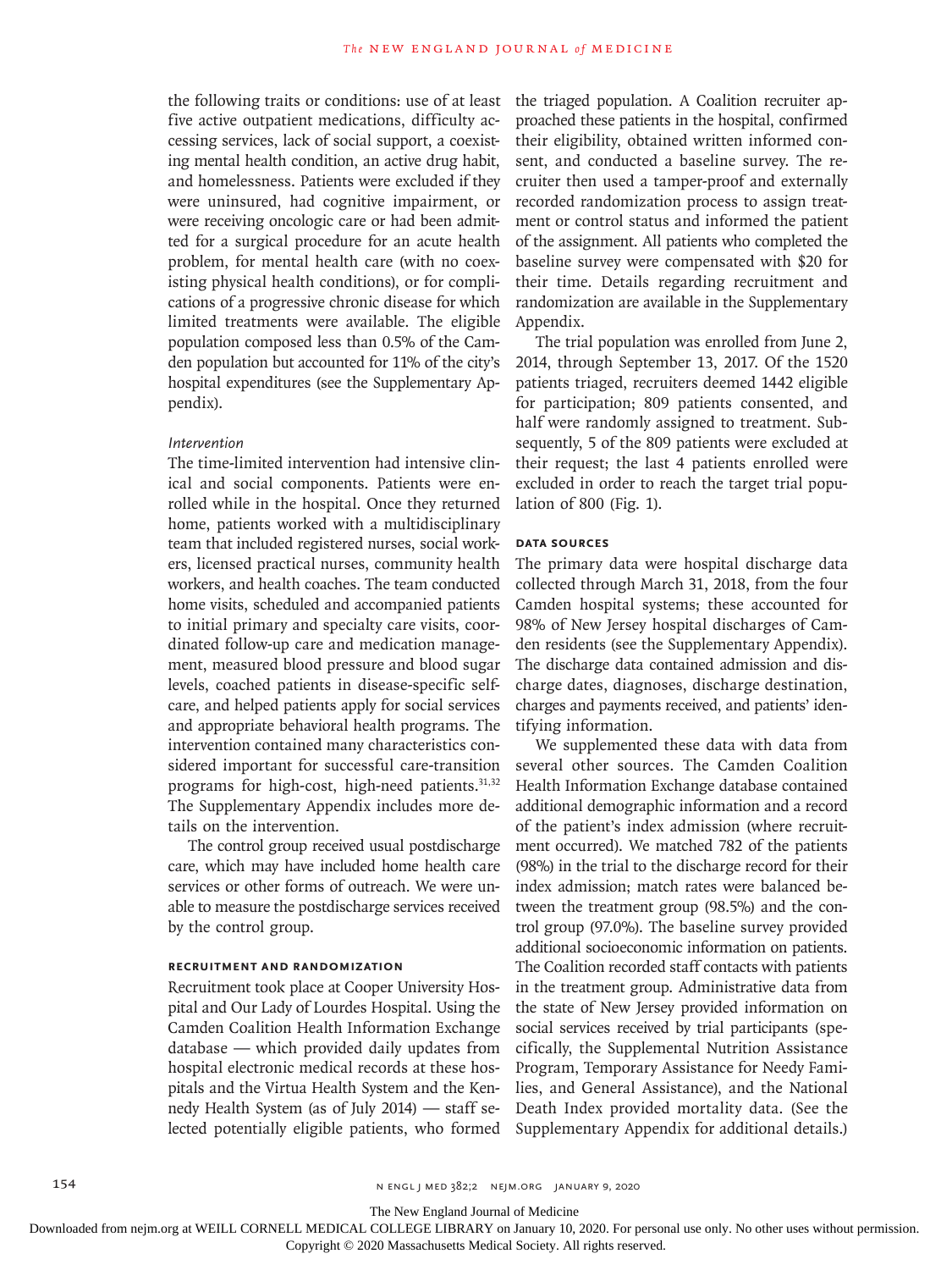the following traits or conditions: use of at least five active outpatient medications, difficulty accessing services, lack of social support, a coexisting mental health condition, an active drug habit, and homelessness. Patients were excluded if they were uninsured, had cognitive impairment, or were receiving oncologic care or had been admitted for a surgical procedure for an acute health problem, for mental health care (with no coexisting physical health conditions), or for complications of a progressive chronic disease for which limited treatments were available. The eligible population composed less than 0.5% of the Camden population but accounted for 11% of the city's hospital expenditures (see the Supplementary Appendix).

#### *Intervention*

The time-limited intervention had intensive clinical and social components. Patients were enrolled while in the hospital. Once they returned home, patients worked with a multidisciplinary team that included registered nurses, social workers, licensed practical nurses, community health workers, and health coaches. The team conducted home visits, scheduled and accompanied patients to initial primary and specialty care visits, coordinated follow-up care and medication management, measured blood pressure and blood sugar levels, coached patients in disease-specific selfcare, and helped patients apply for social services and appropriate behavioral health programs. The intervention contained many characteristics considered important for successful care-transition programs for high-cost, high-need patients.<sup>31,32</sup> The Supplementary Appendix includes more details on the intervention.

The control group received usual postdischarge care, which may have included home health care services or other forms of outreach. We were unable to measure the postdischarge services received by the control group.

#### **Recruitment and Randomization**

Recruitment took place at Cooper University Hospital and Our Lady of Lourdes Hospital. Using the Camden Coalition Health Information Exchange database — which provided daily updates from hospital electronic medical records at these hospitals and the Virtua Health System and the Kennedy Health System (as of July 2014) — staff selected potentially eligible patients, who formed the triaged population. A Coalition recruiter approached these patients in the hospital, confirmed their eligibility, obtained written informed consent, and conducted a baseline survey. The recruiter then used a tamper-proof and externally recorded randomization process to assign treatment or control status and informed the patient of the assignment. All patients who completed the baseline survey were compensated with \$20 for their time. Details regarding recruitment and randomization are available in the Supplementary Appendix.

The trial population was enrolled from June 2, 2014, through September 13, 2017. Of the 1520 patients triaged, recruiters deemed 1442 eligible for participation; 809 patients consented, and half were randomly assigned to treatment. Subsequently, 5 of the 809 patients were excluded at their request; the last 4 patients enrolled were excluded in order to reach the target trial population of 800 (Fig. 1).

#### **Data Sources**

The primary data were hospital discharge data collected through March 31, 2018, from the four Camden hospital systems; these accounted for 98% of New Jersey hospital discharges of Camden residents (see the Supplementary Appendix). The discharge data contained admission and discharge dates, diagnoses, discharge destination, charges and payments received, and patients' identifying information.

We supplemented these data with data from several other sources. The Camden Coalition Health Information Exchange database contained additional demographic information and a record of the patient's index admission (where recruitment occurred). We matched 782 of the patients (98%) in the trial to the discharge record for their index admission; match rates were balanced between the treatment group (98.5%) and the control group (97.0%). The baseline survey provided additional socioeconomic information on patients. The Coalition recorded staff contacts with patients in the treatment group. Administrative data from the state of New Jersey provided information on social services received by trial participants (specifically, the Supplemental Nutrition Assistance Program, Temporary Assistance for Needy Families, and General Assistance), and the National Death Index provided mortality data. (See the Supplementary Appendix for additional details.)

The New England Journal of Medicine

Downloaded from nejm.org at WEILL CORNELL MEDICAL COLLEGE LIBRARY on January 10, 2020. For personal use only. No other uses without permission.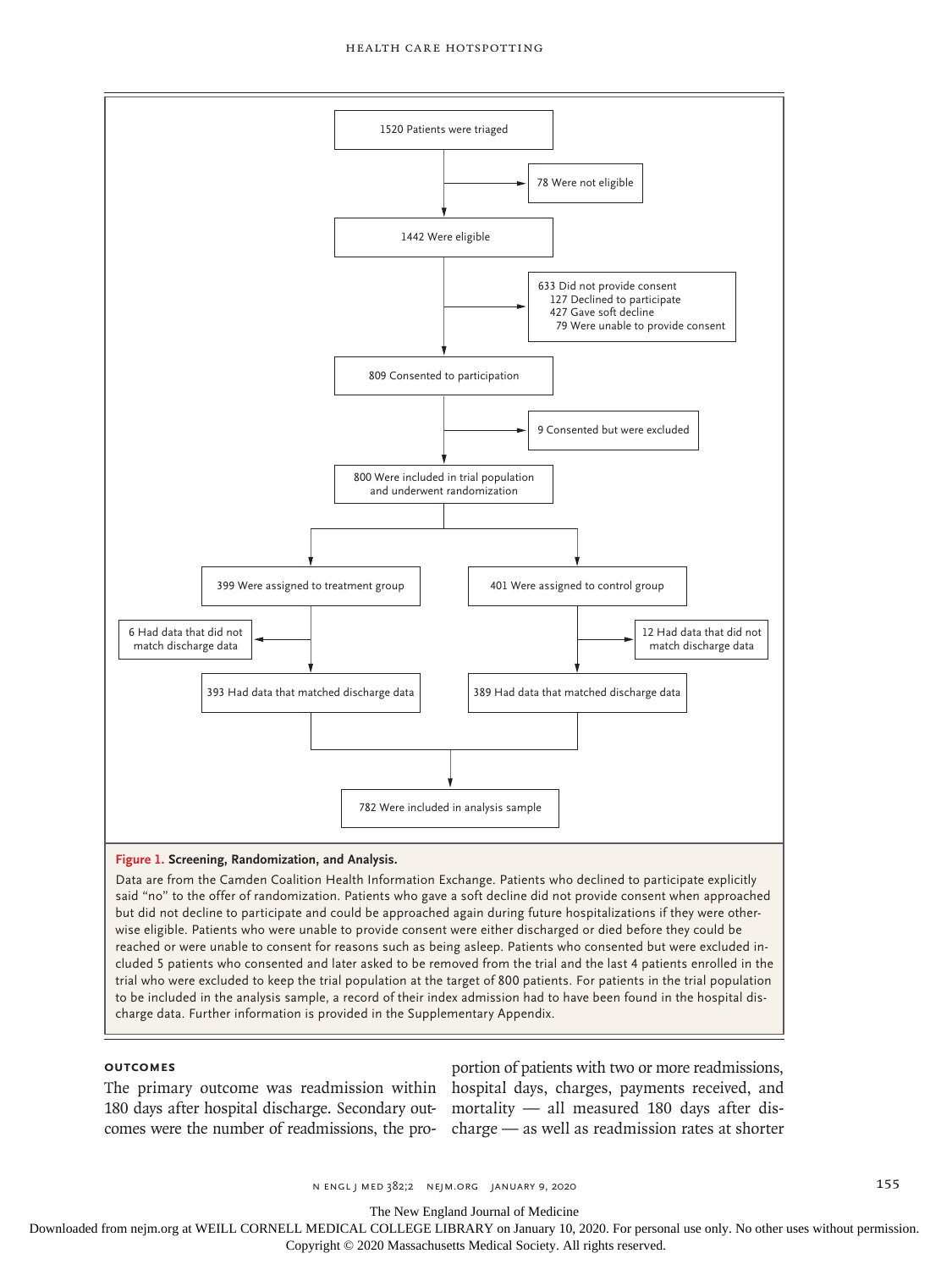#### Health Care Hotspotting



said "no" to the offer of randomization. Patients who gave a soft decline did not provide consent when approached but did not decline to participate and could be approached again during future hospitalizations if they were otherwise eligible. Patients who were unable to provide consent were either discharged or died before they could be reached or were unable to consent for reasons such as being asleep. Patients who consented but were excluded included 5 patients who consented and later asked to be removed from the trial and the last 4 patients enrolled in the trial who were excluded to keep the trial population at the target of 800 patients. For patients in the trial population to be included in the analysis sample, a record of their index admission had to have been found in the hospital discharge data. Further information is provided in the Supplementary Appendix.

#### **Outcomes**

The primary outcome was readmission within hospital days, charges, payments received, and 180 days after hospital discharge. Secondary out-mortality — all measured 180 days after discomes were the number of readmissions, the pro-charge — as well as readmission rates at shorter

portion of patients with two or more readmissions,

n engl j med 382;2 nejm.org January 9, 2020 155

The New England Journal of Medicine

Downloaded from nejm.org at WEILL CORNELL MEDICAL COLLEGE LIBRARY on January 10, 2020. For personal use only. No other uses without permission. Copyright © 2020 Massachusetts Medical Society. All rights reserved.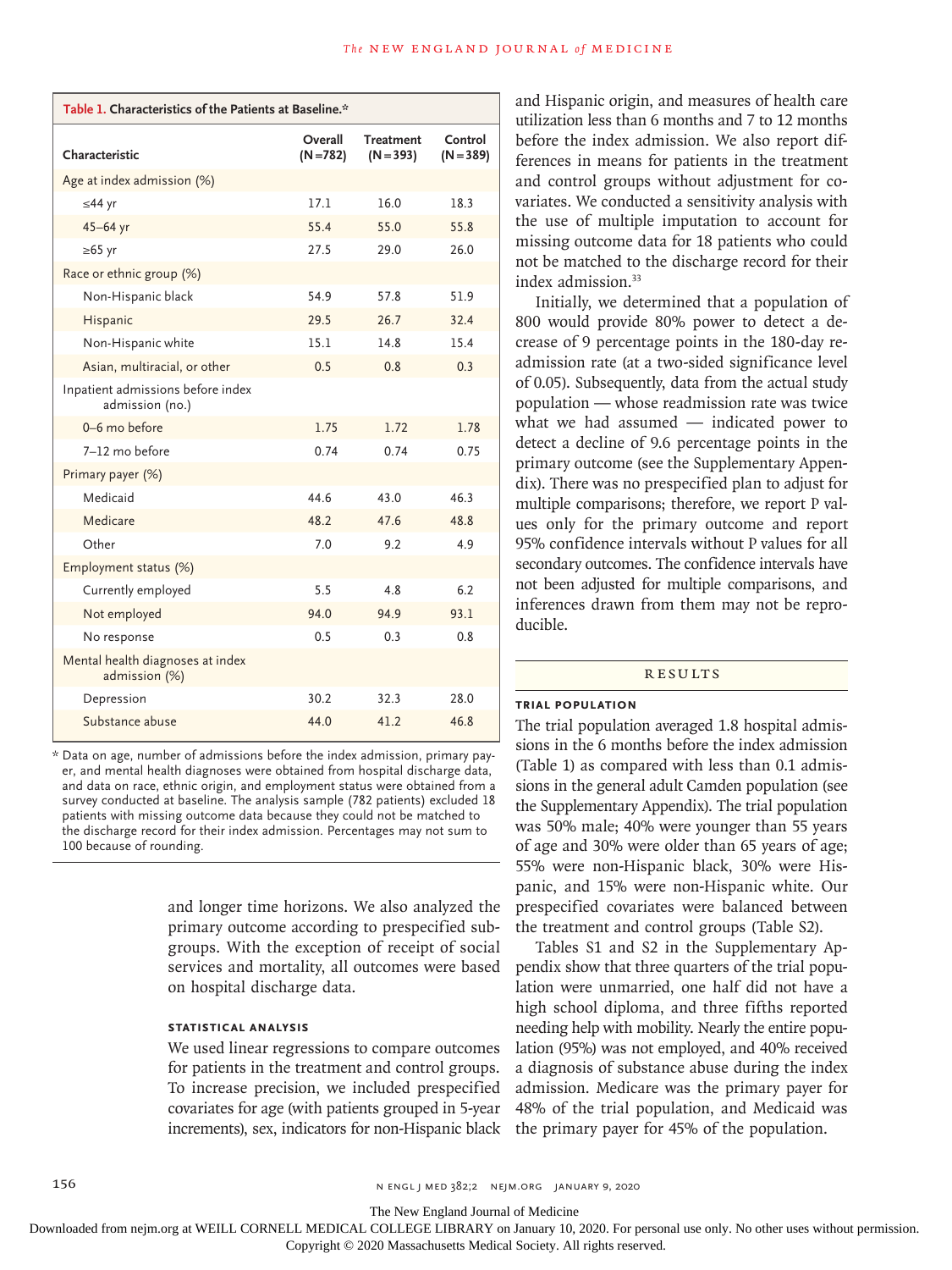| Table 1. Characteristics of the Patients at Baseline.* |                        |                                 |                        |  |
|--------------------------------------------------------|------------------------|---------------------------------|------------------------|--|
| Characteristic                                         | Overall<br>$(N = 782)$ | <b>Treatment</b><br>$(N = 393)$ | Control<br>$(N = 389)$ |  |
| Age at index admission (%)                             |                        |                                 |                        |  |
| ≤44 yr                                                 | 17.1                   | 16.0                            | 18.3                   |  |
| $45 - 64$ yr                                           | 55.4                   | 55.0                            | 55.8                   |  |
| $\geq 65$ yr                                           | 27.5                   | 29.0                            | 26.0                   |  |
| Race or ethnic group (%)                               |                        |                                 |                        |  |
| Non-Hispanic black                                     | 54.9                   | 57.8                            | 51.9                   |  |
| Hispanic                                               | 29.5                   | 26.7                            | 32.4                   |  |
| Non-Hispanic white                                     | 15.1                   | 14.8                            | 15.4                   |  |
| Asian, multiracial, or other                           | 0.5                    | 0.8                             | 0.3                    |  |
| Inpatient admissions before index<br>admission (no.)   |                        |                                 |                        |  |
| 0-6 mo before                                          | 1.75                   | 1.72                            | 1.78                   |  |
| 7-12 mo before                                         | 0.74                   | 0.74                            | 0.75                   |  |
| Primary payer (%)                                      |                        |                                 |                        |  |
| Medicaid                                               | 44.6                   | 43.0                            | 46.3                   |  |
| Medicare                                               | 48.2                   | 47.6                            | 48.8                   |  |
| Other                                                  | 7.0                    | 9.2                             | 4.9                    |  |
| Employment status (%)                                  |                        |                                 |                        |  |
| Currently employed                                     | 5.5                    | 4.8                             | 6.2                    |  |
| Not employed                                           | 94.0                   | 94.9                            | 93.1                   |  |
| No response                                            | 0.5                    | 0.3                             | 0.8                    |  |
| Mental health diagnoses at index<br>admission (%)      |                        |                                 |                        |  |
| Depression                                             | 30.2                   | 32.3                            | 28.0                   |  |
| Substance abuse                                        | 44.0                   | 41.2                            | 46.8                   |  |

\* Data on age, number of admissions before the index admission, primary payer, and mental health diagnoses were obtained from hospital discharge data, and data on race, ethnic origin, and employment status were obtained from a survey conducted at baseline. The analysis sample (782 patients) excluded 18 patients with missing outcome data because they could not be matched to the discharge record for their index admission. Percentages may not sum to 100 because of rounding.

> and longer time horizons. We also analyzed the primary outcome according to prespecified subgroups. With the exception of receipt of social services and mortality, all outcomes were based on hospital discharge data.

#### **Statistical Analysis**

We used linear regressions to compare outcomes for patients in the treatment and control groups. To increase precision, we included prespecified covariates for age (with patients grouped in 5-year increments), sex, indicators for non-Hispanic black and Hispanic origin, and measures of health care utilization less than 6 months and 7 to 12 months before the index admission. We also report differences in means for patients in the treatment and control groups without adjustment for covariates. We conducted a sensitivity analysis with the use of multiple imputation to account for missing outcome data for 18 patients who could not be matched to the discharge record for their index admission.<sup>33</sup>

Initially, we determined that a population of 800 would provide 80% power to detect a decrease of 9 percentage points in the 180-day readmission rate (at a two-sided significance level of 0.05). Subsequently, data from the actual study population — whose readmission rate was twice what we had assumed — indicated power to detect a decline of 9.6 percentage points in the primary outcome (see the Supplementary Appendix). There was no prespecified plan to adjust for multiple comparisons; therefore, we report P values only for the primary outcome and report 95% confidence intervals without P values for all secondary outcomes. The confidence intervals have not been adjusted for multiple comparisons, and inferences drawn from them may not be reproducible.

#### **RESULTS**

#### **Trial Population**

The trial population averaged 1.8 hospital admissions in the 6 months before the index admission (Table 1) as compared with less than 0.1 admissions in the general adult Camden population (see the Supplementary Appendix). The trial population was 50% male; 40% were younger than 55 years of age and 30% were older than 65 years of age; 55% were non-Hispanic black, 30% were Hispanic, and 15% were non-Hispanic white. Our prespecified covariates were balanced between the treatment and control groups (Table S2).

Tables S1 and S2 in the Supplementary Appendix show that three quarters of the trial population were unmarried, one half did not have a high school diploma, and three fifths reported needing help with mobility. Nearly the entire population (95%) was not employed, and 40% received a diagnosis of substance abuse during the index admission. Medicare was the primary payer for 48% of the trial population, and Medicaid was the primary payer for 45% of the population.

156 **n ENGL j MED 382;2 NEJM.ORG JANUARY 9, 2020** 

The New England Journal of Medicine

Downloaded from nejm.org at WEILL CORNELL MEDICAL COLLEGE LIBRARY on January 10, 2020. For personal use only. No other uses without permission.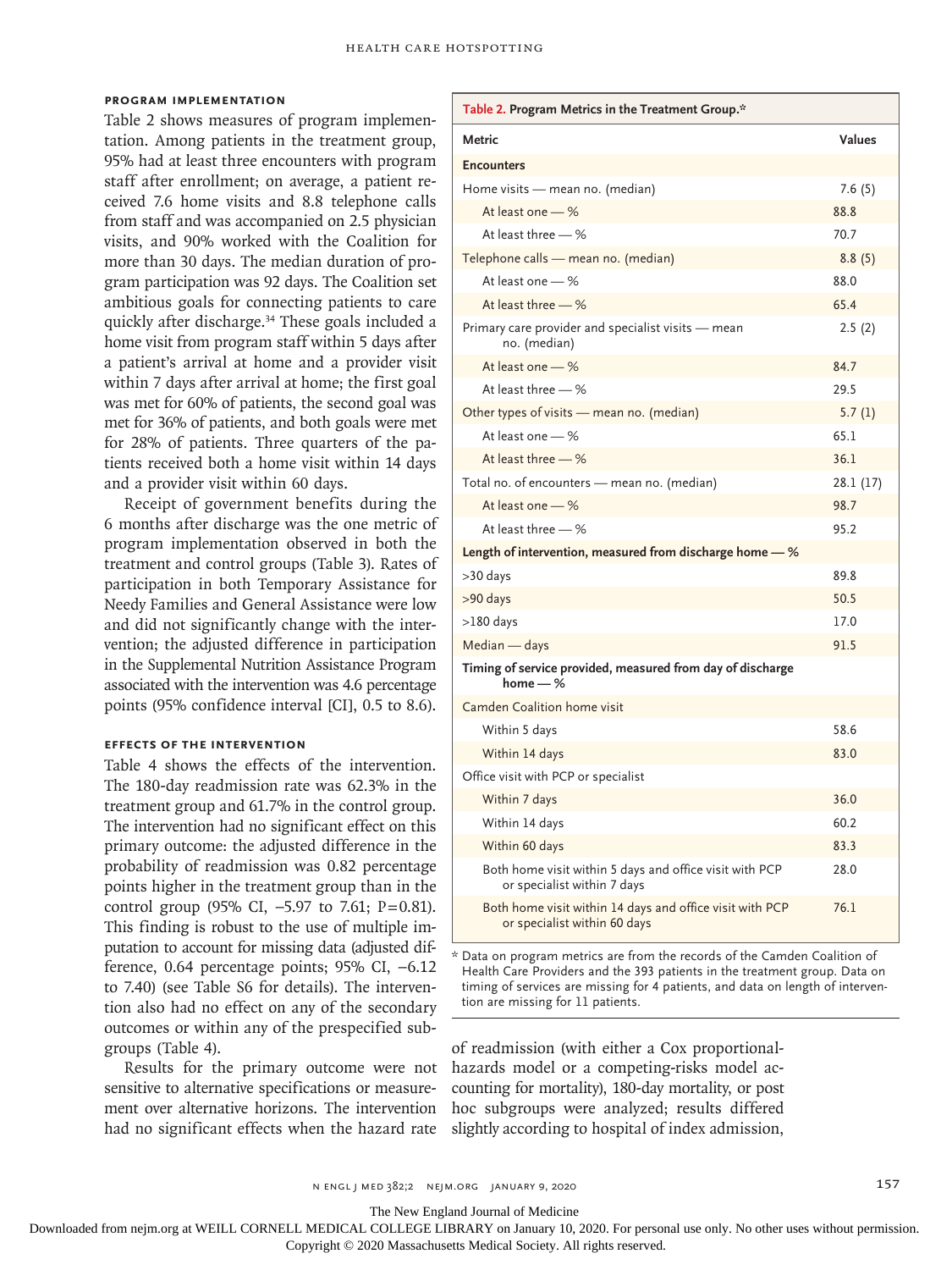#### **Program Implementation**

Table 2 shows measures of program implementation. Among patients in the treatment group, 95% had at least three encounters with program staff after enrollment; on average, a patient received 7.6 home visits and 8.8 telephone calls from staff and was accompanied on 2.5 physician visits, and 90% worked with the Coalition for more than 30 days. The median duration of program participation was 92 days. The Coalition set ambitious goals for connecting patients to care quickly after discharge.<sup>34</sup> These goals included a home visit from program staff within 5 days after a patient's arrival at home and a provider visit within 7 days after arrival at home; the first goal was met for 60% of patients, the second goal was met for 36% of patients, and both goals were met for 28% of patients. Three quarters of the patients received both a home visit within 14 days and a provider visit within 60 days.

Receipt of government benefits during the 6 months after discharge was the one metric of program implementation observed in both the treatment and control groups (Table 3). Rates of participation in both Temporary Assistance for Needy Families and General Assistance were low and did not significantly change with the intervention; the adjusted difference in participation in the Supplemental Nutrition Assistance Program associated with the intervention was 4.6 percentage points (95% confidence interval [CI], 0.5 to 8.6).

#### **Effects of the Intervention**

Table 4 shows the effects of the intervention. The 180-day readmission rate was 62.3% in the treatment group and 61.7% in the control group. The intervention had no significant effect on this primary outcome: the adjusted difference in the probability of readmission was 0.82 percentage points higher in the treatment group than in the control group (95% CI, −5.97 to 7.61; P=0.81). This finding is robust to the use of multiple imputation to account for missing data (adjusted difference, 0.64 percentage points; 95% CI, −6.12 to 7.40) (see Table S6 for details). The intervention also had no effect on any of the secondary outcomes or within any of the prespecified subgroups (Table 4).

Results for the primary outcome were not sensitive to alternative specifications or measurement over alternative horizons. The intervention had no significant effects when the hazard rate

| Table 2. Program Metrics in the Treatment Group.*                                        |           |
|------------------------------------------------------------------------------------------|-----------|
| <b>Metric</b>                                                                            | Values    |
| <b>Encounters</b>                                                                        |           |
| Home visits - mean no. (median)                                                          | 7.6(5)    |
| At least one - %                                                                         | 88.8      |
| At least three $-$ %                                                                     | 70.7      |
| Telephone calls - mean no. (median)                                                      | 8.8(5)    |
| At least one - %                                                                         | 88.0      |
| At least three $-$ %                                                                     | 65.4      |
| Primary care provider and specialist visits – mean<br>no. (median)                       | 2.5(2)    |
| At least one $-$ %                                                                       | 84.7      |
| At least three $-$ %                                                                     | 29.5      |
| Other types of visits - mean no. (median)                                                | 5.7(1)    |
| At least one $-$ %                                                                       | 65.1      |
| At least three - %                                                                       | 36.1      |
| Total no. of encounters - mean no. (median)                                              | 28.1 (17) |
| At least one $-$ %                                                                       | 98.7      |
| At least three - %                                                                       | 95.2      |
| Length of intervention, measured from discharge home $-$ %                               |           |
| >30 days                                                                                 | 89.8      |
| >90 days                                                                                 | 50.5      |
| $>180$ days                                                                              | 17.0      |
| Median — days                                                                            | 91.5      |
| Timing of service provided, measured from day of discharge<br>$home-$ %                  |           |
| Camden Coalition home visit                                                              |           |
| Within 5 days                                                                            | 58.6      |
| Within 14 days                                                                           | 83.0      |
| Office visit with PCP or specialist                                                      |           |
| Within 7 days                                                                            | 36.0      |
| Within 14 days                                                                           | 60.2      |
| Within 60 days                                                                           | 83.3      |
| Both home visit within 5 days and office visit with PCP<br>or specialist within 7 days   | 28.0      |
| Both home visit within 14 days and office visit with PCP<br>or specialist within 60 days | 76.1      |

\* Data on program metrics are from the records of the Camden Coalition of Health Care Providers and the 393 patients in the treatment group. Data on timing of services are missing for 4 patients, and data on length of intervention are missing for 11 patients.

of readmission (with either a Cox proportionalhazards model or a competing-risks model accounting for mortality), 180-day mortality, or post hoc subgroups were analyzed; results differed slightly according to hospital of index admission,

n engl j med 382;2 nejm.org January 9, 2020 157

The New England Journal of Medicine

Downloaded from nejm.org at WEILL CORNELL MEDICAL COLLEGE LIBRARY on January 10, 2020. For personal use only. No other uses without permission.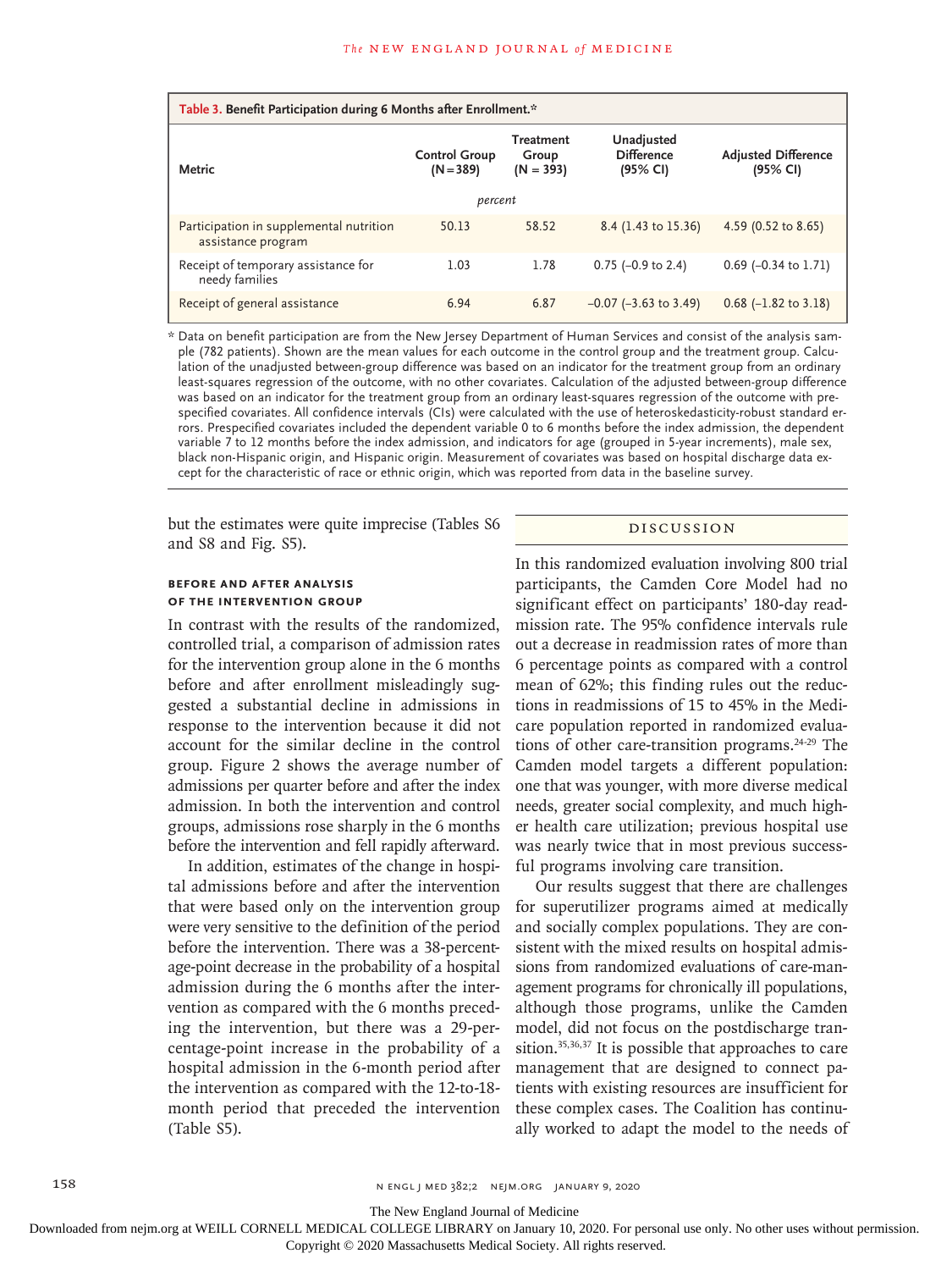| Table 3. Benefit Participation during 6 Months after Enrollment.* |                                     |                                          |                                             |                                        |  |
|-------------------------------------------------------------------|-------------------------------------|------------------------------------------|---------------------------------------------|----------------------------------------|--|
| <b>Metric</b>                                                     | <b>Control Group</b><br>$(N = 389)$ | <b>Treatment</b><br>Group<br>$(N = 393)$ | Unadjusted<br><b>Difference</b><br>(95% CI) | <b>Adjusted Difference</b><br>(95% CI) |  |
| percent                                                           |                                     |                                          |                                             |                                        |  |
| Participation in supplemental nutrition<br>assistance program     | 50.13                               | 58.52                                    | 8.4 (1.43 to 15.36)                         | 4.59 (0.52 to 8.65)                    |  |
| Receipt of temporary assistance for<br>needy families             | 1.03                                | 1.78                                     | $0.75$ (-0.9 to 2.4)                        | $0.69$ (-0.34 to 1.71)                 |  |
| Receipt of general assistance                                     | 6.94                                | 6.87                                     | $-0.07$ ( $-3.63$ to 3.49)                  | $0.68$ (-1.82 to 3.18)                 |  |

\* Data on benefit participation are from the New Jersey Department of Human Services and consist of the analysis sample (782 patients). Shown are the mean values for each outcome in the control group and the treatment group. Calculation of the unadjusted between-group difference was based on an indicator for the treatment group from an ordinary least-squares regression of the outcome, with no other covariates. Calculation of the adjusted between-group difference was based on an indicator for the treatment group from an ordinary least-squares regression of the outcome with prespecified covariates. All confidence intervals (CIs) were calculated with the use of heteroskedasticity-robust standard errors. Prespecified covariates included the dependent variable 0 to 6 months before the index admission, the dependent variable 7 to 12 months before the index admission, and indicators for age (grouped in 5-year increments), male sex, black non-Hispanic origin, and Hispanic origin. Measurement of covariates was based on hospital discharge data except for the characteristic of race or ethnic origin, which was reported from data in the baseline survey.

but the estimates were quite imprecise (Tables S6 and S8 and Fig. S5).

#### **Before and after Analysis of the Intervention Group**

In contrast with the results of the randomized, controlled trial, a comparison of admission rates for the intervention group alone in the 6 months before and after enrollment misleadingly suggested a substantial decline in admissions in response to the intervention because it did not account for the similar decline in the control group. Figure 2 shows the average number of admissions per quarter before and after the index admission. In both the intervention and control groups, admissions rose sharply in the 6 months before the intervention and fell rapidly afterward.

In addition, estimates of the change in hospital admissions before and after the intervention that were based only on the intervention group were very sensitive to the definition of the period before the intervention. There was a 38-percentage-point decrease in the probability of a hospital admission during the 6 months after the intervention as compared with the 6 months preceding the intervention, but there was a 29-percentage-point increase in the probability of a hospital admission in the 6-month period after the intervention as compared with the 12-to-18 month period that preceded the intervention (Table S5).

#### Discussion

In this randomized evaluation involving 800 trial participants, the Camden Core Model had no significant effect on participants' 180-day readmission rate. The 95% confidence intervals rule out a decrease in readmission rates of more than 6 percentage points as compared with a control mean of 62%; this finding rules out the reductions in readmissions of 15 to 45% in the Medicare population reported in randomized evaluations of other care-transition programs. $24-29$  The Camden model targets a different population: one that was younger, with more diverse medical needs, greater social complexity, and much higher health care utilization; previous hospital use was nearly twice that in most previous successful programs involving care transition.

Our results suggest that there are challenges for superutilizer programs aimed at medically and socially complex populations. They are consistent with the mixed results on hospital admissions from randomized evaluations of care-management programs for chronically ill populations, although those programs, unlike the Camden model, did not focus on the postdischarge transition.<sup>35,36,37</sup> It is possible that approaches to care management that are designed to connect patients with existing resources are insufficient for these complex cases. The Coalition has continually worked to adapt the model to the needs of

The New England Journal of Medicine

Downloaded from nejm.org at WEILL CORNELL MEDICAL COLLEGE LIBRARY on January 10, 2020. For personal use only. No other uses without permission.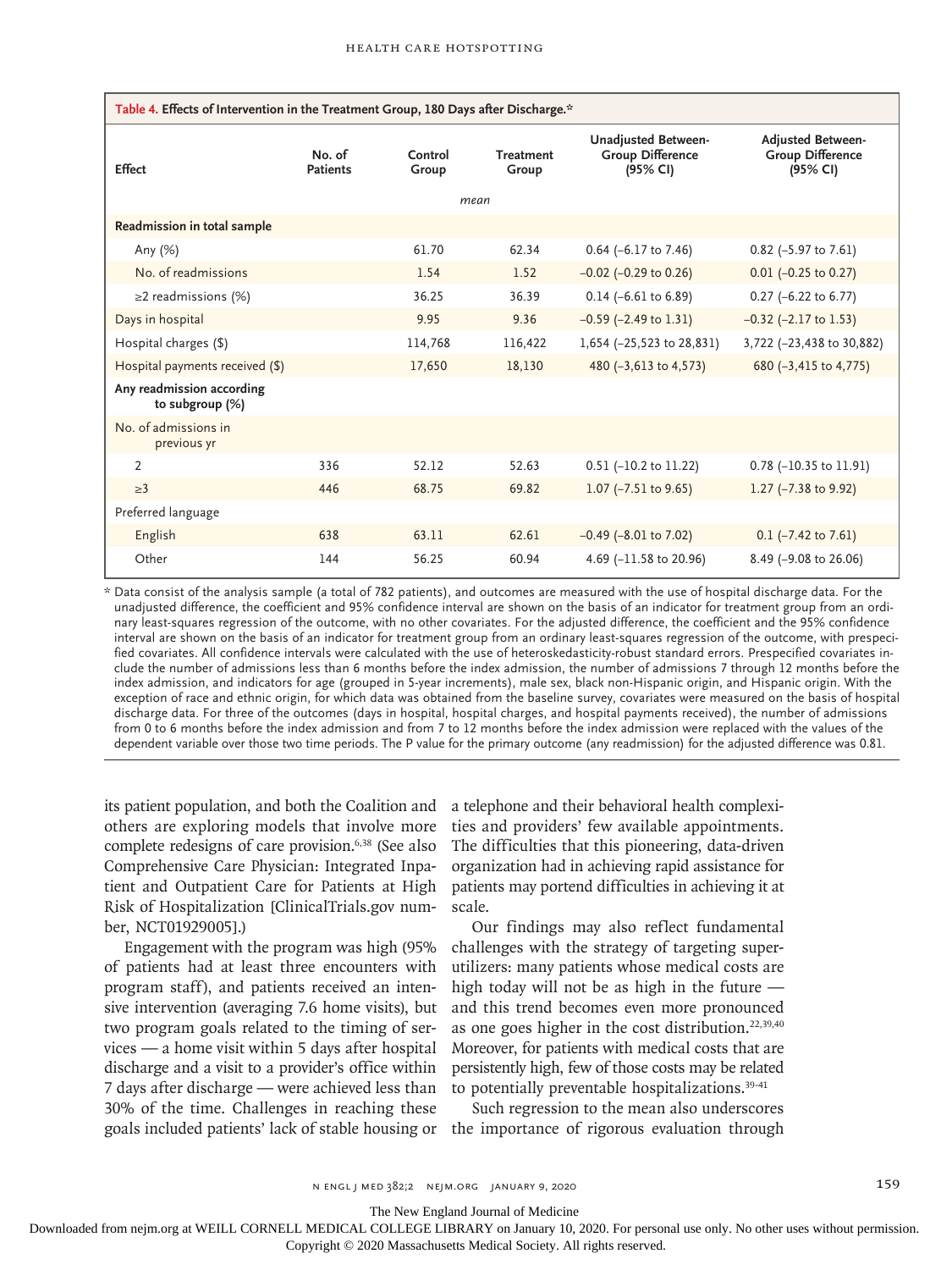| Table 4. Effects of Intervention in the Treatment Group, 180 Days after Discharge.* |                           |                  |                           |                                                                   |                                                                 |
|-------------------------------------------------------------------------------------|---------------------------|------------------|---------------------------|-------------------------------------------------------------------|-----------------------------------------------------------------|
| <b>Effect</b>                                                                       | No. of<br><b>Patients</b> | Control<br>Group | <b>Treatment</b><br>Group | <b>Unadjusted Between-</b><br><b>Group Difference</b><br>(95% CI) | <b>Adjusted Between-</b><br><b>Group Difference</b><br>(95% CI) |
|                                                                                     |                           | mean             |                           |                                                                   |                                                                 |
| Readmission in total sample                                                         |                           |                  |                           |                                                                   |                                                                 |
| Any (%)                                                                             |                           | 61.70            | 62.34                     | $0.64$ (-6.17 to 7.46)                                            | $0.82$ (-5.97 to 7.61)                                          |
| No. of readmissions                                                                 |                           | 1.54             | 1.52                      | $-0.02$ ( $-0.29$ to 0.26)                                        | $0.01$ (-0.25 to 0.27)                                          |
| $\geq$ 2 readmissions (%)                                                           |                           | 36.25            | 36.39                     | $0.14$ (-6.61 to 6.89)                                            | $0.27$ (-6.22 to 6.77)                                          |
| Days in hospital                                                                    |                           | 9.95             | 9.36                      | $-0.59$ ( $-2.49$ to 1.31)                                        | $-0.32$ ( $-2.17$ to 1.53)                                      |
| Hospital charges (\$)                                                               |                           | 114,768          | 116,422                   | 1,654 (-25,523 to 28,831)                                         | 3,722 (-23,438 to 30,882)                                       |
| Hospital payments received (\$)                                                     |                           | 17,650           | 18,130                    | 480 (-3,613 to 4,573)                                             | 680 (-3,415 to 4,775)                                           |
| Any readmission according<br>to subgroup $(\%)$                                     |                           |                  |                           |                                                                   |                                                                 |
| No. of admissions in<br>previous yr                                                 |                           |                  |                           |                                                                   |                                                                 |
| 2                                                                                   | 336                       | 52.12            | 52.63                     | $0.51$ (-10.2 to 11.22)                                           | $0.78$ (-10.35 to 11.91)                                        |
| >3                                                                                  | 446                       | 68.75            | 69.82                     | 1.07 $(-7.51$ to 9.65)                                            | 1.27 $(-7.38 \text{ to } 9.92)$                                 |
| Preferred language                                                                  |                           |                  |                           |                                                                   |                                                                 |
| English                                                                             | 638                       | 63.11            | 62.61                     | $-0.49$ ( $-8.01$ to 7.02)                                        | $0.1$ (-7.42 to 7.61)                                           |
| Other                                                                               | 144                       | 56.25            | 60.94                     | 4.69 (-11.58 to 20.96)                                            | 8.49 (-9.08 to 26.06)                                           |

\* Data consist of the analysis sample (a total of 782 patients), and outcomes are measured with the use of hospital discharge data. For the unadjusted difference, the coefficient and 95% confidence interval are shown on the basis of an indicator for treatment group from an ordinary least-squares regression of the outcome, with no other covariates. For the adjusted difference, the coefficient and the 95% confidence interval are shown on the basis of an indicator for treatment group from an ordinary least-squares regression of the outcome, with prespecified covariates. All confidence intervals were calculated with the use of heteroskedasticity-robust standard errors. Prespecified covariates include the number of admissions less than 6 months before the index admission, the number of admissions 7 through 12 months before the index admission, and indicators for age (grouped in 5-year increments), male sex, black non-Hispanic origin, and Hispanic origin. With the exception of race and ethnic origin, for which data was obtained from the baseline survey, covariates were measured on the basis of hospital discharge data. For three of the outcomes (days in hospital, hospital charges, and hospital payments received), the number of admissions from 0 to 6 months before the index admission and from 7 to 12 months before the index admission were replaced with the values of the dependent variable over those two time periods. The P value for the primary outcome (any readmission) for the adjusted difference was 0.81.

its patient population, and both the Coalition and others are exploring models that involve more complete redesigns of care provision.<sup>6,38</sup> (See also Comprehensive Care Physician: Integrated Inpatient and Outpatient Care for Patients at High Risk of Hospitalization [ClinicalTrials.gov number, NCT01929005].)

Engagement with the program was high (95% of patients had at least three encounters with program staff), and patients received an intensive intervention (averaging 7.6 home visits), but two program goals related to the timing of services — a home visit within 5 days after hospital discharge and a visit to a provider's office within 7 days after discharge — were achieved less than 30% of the time. Challenges in reaching these goals included patients' lack of stable housing or a telephone and their behavioral health complexities and providers' few available appointments. The difficulties that this pioneering, data-driven organization had in achieving rapid assistance for patients may portend difficulties in achieving it at scale.

Our findings may also reflect fundamental challenges with the strategy of targeting superutilizers: many patients whose medical costs are high today will not be as high in the future and this trend becomes even more pronounced as one goes higher in the cost distribution. $22,39,40$ Moreover, for patients with medical costs that are persistently high, few of those costs may be related to potentially preventable hospitalizations.<sup>39-41</sup>

Such regression to the mean also underscores the importance of rigorous evaluation through

n engl j med 382;2 nejm.org January 9, 2020 159

The New England Journal of Medicine

Downloaded from nejm.org at WEILL CORNELL MEDICAL COLLEGE LIBRARY on January 10, 2020. For personal use only. No other uses without permission.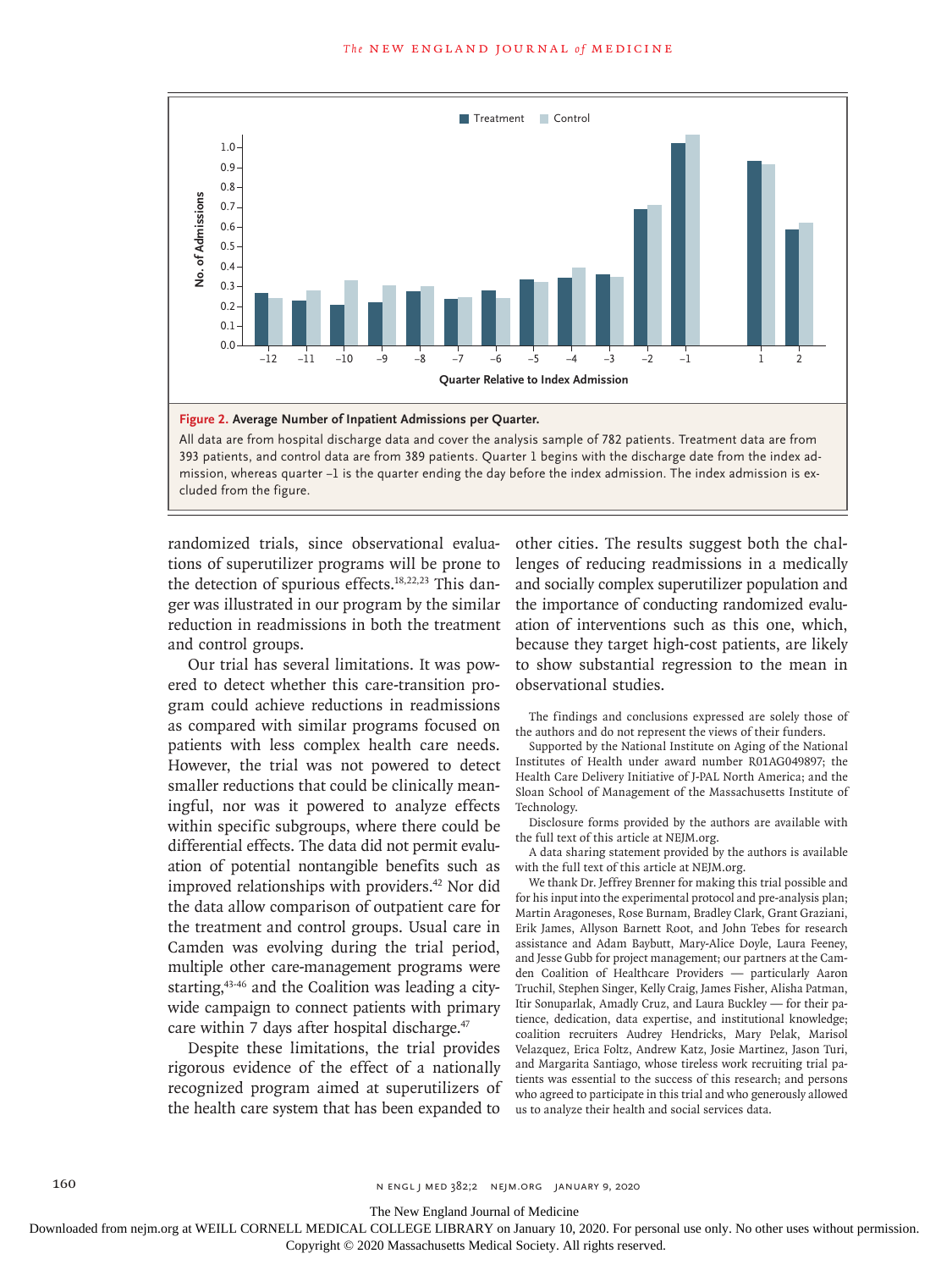

393 patients, and control data are from 389 patients. Quarter 1 begins with the discharge date from the index admission, whereas quarter −1 is the quarter ending the day before the index admission. The index admission is ex-

randomized trials, since observational evaluations of superutilizer programs will be prone to the detection of spurious effects.<sup>18,22,23</sup> This danger was illustrated in our program by the similar reduction in readmissions in both the treatment and control groups.

Our trial has several limitations. It was powered to detect whether this care-transition program could achieve reductions in readmissions as compared with similar programs focused on patients with less complex health care needs. However, the trial was not powered to detect smaller reductions that could be clinically meaningful, nor was it powered to analyze effects within specific subgroups, where there could be differential effects. The data did not permit evaluation of potential nontangible benefits such as improved relationships with providers.<sup>42</sup> Nor did the data allow comparison of outpatient care for the treatment and control groups. Usual care in Camden was evolving during the trial period, multiple other care-management programs were starting,<sup>43-46</sup> and the Coalition was leading a citywide campaign to connect patients with primary care within 7 days after hospital discharge. $47$ 

Despite these limitations, the trial provides rigorous evidence of the effect of a nationally recognized program aimed at superutilizers of the health care system that has been expanded to

other cities. The results suggest both the challenges of reducing readmissions in a medically and socially complex superutilizer population and the importance of conducting randomized evaluation of interventions such as this one, which, because they target high-cost patients, are likely to show substantial regression to the mean in observational studies.

The findings and conclusions expressed are solely those of the authors and do not represent the views of their funders.

Supported by the National Institute on Aging of the National Institutes of Health under award number R01AG049897; the Health Care Delivery Initiative of J-PAL North America; and the Sloan School of Management of the Massachusetts Institute of Technology.

Disclosure forms provided by the authors are available with the full text of this article at NEJM.org.

A data sharing statement provided by the authors is available with the full text of this article at NEJM.org.

We thank Dr. Jeffrey Brenner for making this trial possible and for his input into the experimental protocol and pre-analysis plan; Martin Aragoneses, Rose Burnam, Bradley Clark, Grant Graziani, Erik James, Allyson Barnett Root, and John Tebes for research assistance and Adam Baybutt, Mary-Alice Doyle, Laura Feeney, and Jesse Gubb for project management; our partners at the Camden Coalition of Healthcare Providers — particularly Aaron Truchil, Stephen Singer, Kelly Craig, James Fisher, Alisha Patman, Itir Sonuparlak, Amadly Cruz, and Laura Buckley — for their patience, dedication, data expertise, and institutional knowledge; coalition recruiters Audrey Hendricks, Mary Pelak, Marisol Velazquez, Erica Foltz, Andrew Katz, Josie Martinez, Jason Turi, and Margarita Santiago, whose tireless work recruiting trial patients was essential to the success of this research; and persons who agreed to participate in this trial and who generously allowed us to analyze their health and social services data.

The New England Journal of Medicine

Downloaded from nejm.org at WEILL CORNELL MEDICAL COLLEGE LIBRARY on January 10, 2020. For personal use only. No other uses without permission.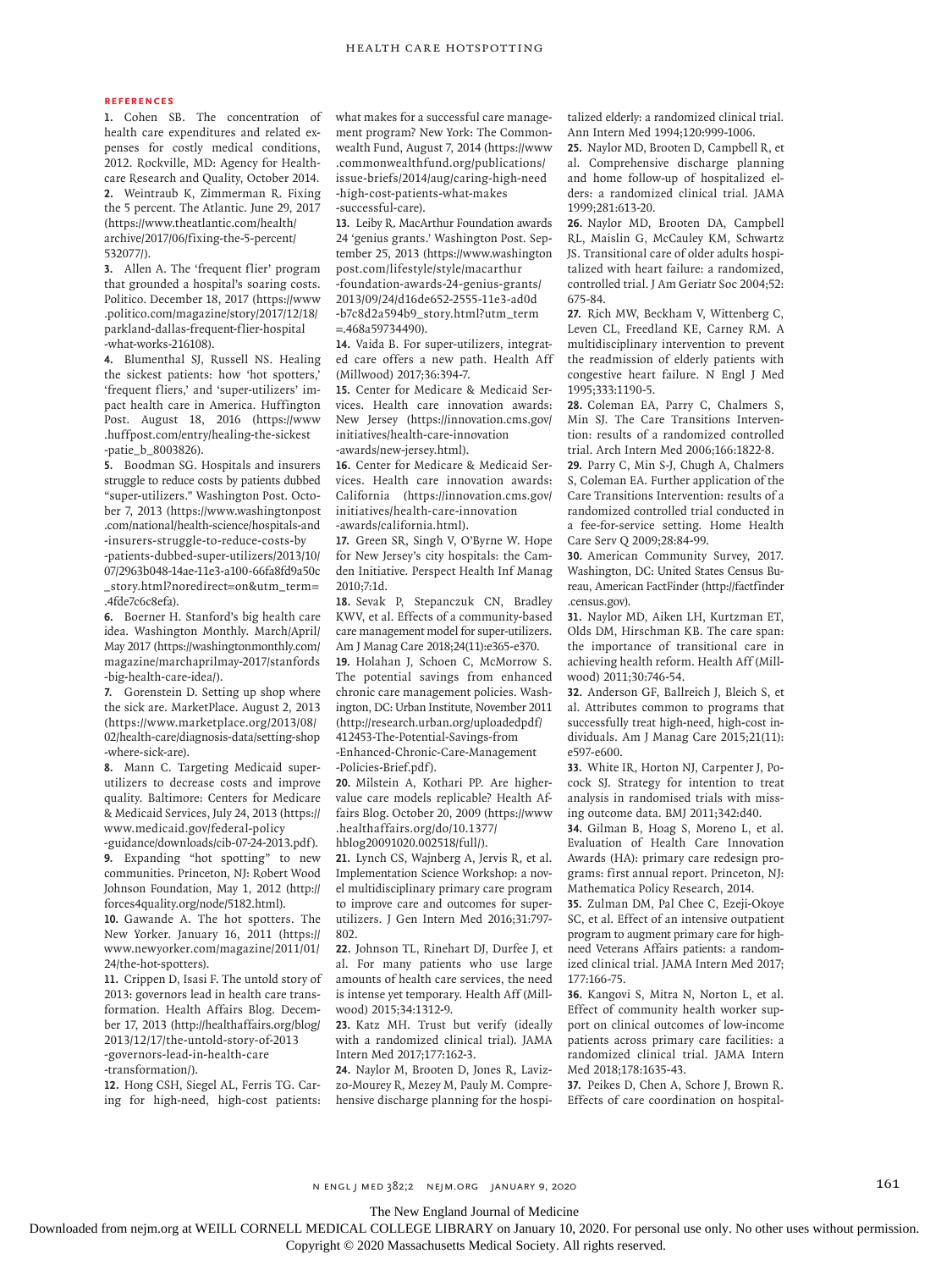#### **References**

**1.** Cohen SB. The concentration of health care expenditures and related expenses for costly medical conditions, 2012. Rockville, MD: Agency for Healthcare Research and Quality, October 2014. **2.** Weintraub K, Zimmerman R. Fixing the 5 percent. The Atlantic. June 29, 2017 (https://www.theatlantic.com/health/ archive/2017/06/fixing-the-5-percent/ 532077/).

**3.** Allen A. The 'frequent flier' program that grounded a hospital's soaring costs. Politico. December 18, 2017 (https://www .politico.com/magazine/story/2017/12/18/ parkland-dallas-frequent-flier-hospital -what-works-216108).

**4.** Blumenthal SJ, Russell NS. Healing the sickest patients: how 'hot spotters,' 'frequent fliers,' and 'super-utilizers' impact health care in America. Huffington Post. August 18, 2016 (https://www .huffpost.com/entry/healing-the-sickest -patie\_b\_8003826).

**5.** Boodman SG. Hospitals and insurers struggle to reduce costs by patients dubbed "super-utilizers." Washington Post. October 7, 2013 (https://www.washingtonpost .com/national/health-science/hospitals-and -insurers-struggle-to-reduce-costs-by -patients-dubbed-super-utilizers/2013/10/ 07/2963b048-14ae-11e3-a100-66fa8fd9a50c \_story.html?noredirect=on&utm\_term= .4fde7c6c8efa).

**6.** Boerner H. Stanford's big health care idea. Washington Monthly. March/April/ May 2017 (https://washingtonmonthly.com/ magazine/marchaprilmay-2017/stanfords -big-health-care-idea/).

**7.** Gorenstein D. Setting up shop where the sick are. MarketPlace. August 2, 2013 (https://www.marketplace.org/2013/08/ 02/health-care/diagnosis-data/setting-shop -where-sick-are).

**8.** Mann C. Targeting Medicaid superutilizers to decrease costs and improve quality. Baltimore: Centers for Medicare & Medicaid Services, July 24, 2013 (https:// www.medicaid.gov/federal-policy

-guidance/downloads/cib-07-24-2013.pdf). **9.** Expanding "hot spotting" to new communities. Princeton, NJ: Robert Wood Johnson Foundation, May 1, 2012 (http:// forces4quality.org/node/5182.html).

**10.** Gawande A. The hot spotters. The New Yorker. January 16, 2011 (https:// www.newyorker.com/magazine/2011/01/ 24/the-hot-spotters).

**11.** Crippen D, Isasi F. The untold story of 2013: governors lead in health care transformation. Health Affairs Blog. December 17, 2013 (http://healthaffairs.org/blog/ 2013/12/17/the-untold-story-of-2013 -governors-lead-in-health-care

-transformation/).

**12.** Hong CSH, Siegel AL, Ferris TG. Caring for high-need, high-cost patients:

what makes for a successful care management program? New York: The Commonwealth Fund, August 7, 2014 (https://www .commonwealthfund.org/publications/ issue-briefs/2014/aug/caring-high-need -high-cost-patients-what-makes -successful-care).

**13.** Leiby R. MacArthur Foundation awards 24 'genius grants.' Washington Post. September 25, 2013 (https://www.washington post.com/lifestyle/style/macarthur -foundation-awards-24-genius-grants/ 2013/09/24/d16de652-2555-11e3-ad0d -b7c8d2a594b9\_story.html?utm\_term =.468a59734490).

**14.** Vaida B. For super-utilizers, integrated care offers a new path. Health Aff (Millwood) 2017;36:394-7.

**15.** Center for Medicare & Medicaid Services. Health care innovation awards: New Jersey (https://innovation.cms.gov/ initiatives/health-care-innovation -awards/new-jersey.html).

**16.** Center for Medicare & Medicaid Services. Health care innovation awards: California (https://innovation.cms.gov/ initiatives/health-care-innovation -awards/california.html).

**17.** Green SR, Singh V, O'Byrne W. Hope for New Jersey's city hospitals: the Camden Initiative. Perspect Health Inf Manag 2010;7:1d.

**18.** Sevak P, Stepanczuk CN, Bradley KWV, et al. Effects of a community-based care management model for super-utilizers. Am J Manag Care 2018;24(11):e365-e370. **19.** Holahan J, Schoen C, McMorrow S. The potential savings from enhanced

chronic care management policies. Washington, DC: Urban Institute, November 2011 (http://research.urban.org/uploadedpdf/ 412453-The-Potential-Savings-from -Enhanced-Chronic-Care-Management -Policies-Brief.pdf).

**20.** Milstein A, Kothari PP. Are highervalue care models replicable? Health Affairs Blog. October 20, 2009 (https://www .healthaffairs.org/do/10.1377/ hblog20091020.002518/full/).

**21.** Lynch CS, Wajnberg A, Jervis R, et al. Implementation Science Workshop: a novel multidisciplinary primary care program to improve care and outcomes for superutilizers. J Gen Intern Med 2016;31:797- 802.

**22.** Johnson TL, Rinehart DJ, Durfee J, et al. For many patients who use large amounts of health care services, the need is intense yet temporary. Health Aff (Millwood) 2015;34:1312-9.

**23.** Katz MH. Trust but verify (ideally with a randomized clinical trial). JAMA Intern Med 2017;177:162-3.

**24.** Naylor M, Brooten D, Jones R, Lavizzo-Mourey R, Mezey M, Pauly M. Comprehensive discharge planning for the hospitalized elderly: a randomized clinical trial. Ann Intern Med 1994;120:999-1006.

**25.** Naylor MD, Brooten D, Campbell R, et al. Comprehensive discharge planning and home follow-up of hospitalized elders: a randomized clinical trial. JAMA 1999;281:613-20.

**26.** Naylor MD, Brooten DA, Campbell RL, Maislin G, McCauley KM, Schwartz JS. Transitional care of older adults hospitalized with heart failure: a randomized, controlled trial. J Am Geriatr Soc 2004;52: 675-84.

**27.** Rich MW, Beckham V, Wittenberg C, Leven CL, Freedland KE, Carney RM. A multidisciplinary intervention to prevent the readmission of elderly patients with congestive heart failure. N Engl J Med 1995;333:1190-5.

**28.** Coleman EA, Parry C, Chalmers S, Min SJ. The Care Transitions Intervention: results of a randomized controlled trial. Arch Intern Med 2006;166:1822-8.

**29.** Parry C, Min S-J, Chugh A, Chalmers S, Coleman EA. Further application of the Care Transitions Intervention: results of a randomized controlled trial conducted in a fee-for-service setting. Home Health Care Serv Q 2009;28:84-99.

**30.** American Community Survey, 2017. Washington, DC: United States Census Bureau, American FactFinder (http://factfinder .census.gov).

**31.** Naylor MD, Aiken LH, Kurtzman ET, Olds DM, Hirschman KB. The care span: the importance of transitional care in achieving health reform. Health Aff (Millwood) 2011;30:746-54.

**32.** Anderson GF, Ballreich J, Bleich S, et al. Attributes common to programs that successfully treat high-need, high-cost individuals. Am J Manag Care 2015;21(11): e597-e600.

**33.** White IR, Horton NJ, Carpenter J, Pocock SJ. Strategy for intention to treat analysis in randomised trials with missing outcome data. BMJ 2011;342:d40.

**34.** Gilman B, Hoag S, Moreno L, et al. Evaluation of Health Care Innovation Awards (HA): primary care redesign programs: first annual report. Princeton, NJ: Mathematica Policy Research, 2014.

**35.** Zulman DM, Pal Chee C, Ezeji-Okoye SC, et al. Effect of an intensive outpatient program to augment primary care for highneed Veterans Affairs patients: a randomized clinical trial. JAMA Intern Med 2017; 177:166-75.

**36.** Kangovi S, Mitra N, Norton L, et al. Effect of community health worker support on clinical outcomes of low-income patients across primary care facilities: a randomized clinical trial. JAMA Intern Med 2018;178:1635-43.

**37.** Peikes D, Chen A, Schore J, Brown R. Effects of care coordination on hospital-

n engl j med 382;2 nejm.org January 9, 2020 161

The New England Journal of Medicine

Downloaded from nejm.org at WEILL CORNELL MEDICAL COLLEGE LIBRARY on January 10, 2020. For personal use only. No other uses without permission.